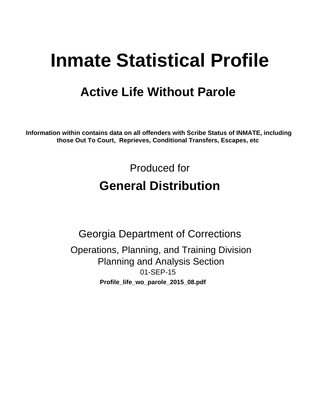# **Inmate Statistical Profile**

## **Active Life Without Parole**

Information within contains data on all offenders with Scribe Status of INMATE, including those Out To Court, Reprieves, Conditional Transfers, Escapes, etc

> Produced for **General Distribution**

**Georgia Department of Corrections** Operations, Planning, and Training Division **Planning and Analysis Section** 01-SEP-15 Profile\_life\_wo\_parole\_2015\_08.pdf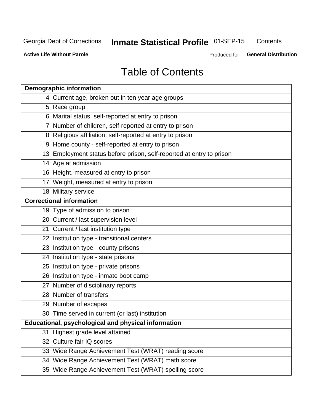#### Inmate Statistical Profile 01-SEP-15 Contents

**Active Life Without Parole** 

Produced for General Distribution

## **Table of Contents**

| <b>Demographic information</b>                                       |
|----------------------------------------------------------------------|
| 4 Current age, broken out in ten year age groups                     |
| 5 Race group                                                         |
| 6 Marital status, self-reported at entry to prison                   |
| 7 Number of children, self-reported at entry to prison               |
| 8 Religious affiliation, self-reported at entry to prison            |
| 9 Home county - self-reported at entry to prison                     |
| 13 Employment status before prison, self-reported at entry to prison |
| 14 Age at admission                                                  |
| 16 Height, measured at entry to prison                               |
| 17 Weight, measured at entry to prison                               |
| 18 Military service                                                  |
| <b>Correctional information</b>                                      |
| 19 Type of admission to prison                                       |
| 20 Current / last supervision level                                  |
| 21 Current / last institution type                                   |
| 22 Institution type - transitional centers                           |
| 23 Institution type - county prisons                                 |
| 24 Institution type - state prisons                                  |
| 25 Institution type - private prisons                                |
| 26 Institution type - inmate boot camp                               |
| 27 Number of disciplinary reports                                    |
| 28 Number of transfers                                               |
| 29 Number of escapes                                                 |
| 30 Time served in current (or last) institution                      |
| <b>Educational, psychological and physical information</b>           |
| 31 Highest grade level attained                                      |
| 32 Culture fair IQ scores                                            |
| 33 Wide Range Achievement Test (WRAT) reading score                  |
| 34 Wide Range Achievement Test (WRAT) math score                     |
| 35 Wide Range Achievement Test (WRAT) spelling score                 |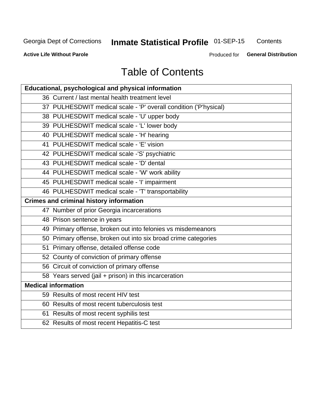## Inmate Statistical Profile 01-SEP-15

Contents

**Active Life Without Parole** 

Produced for General Distribution

## **Table of Contents**

| Educational, psychological and physical information              |
|------------------------------------------------------------------|
| 36 Current / last mental health treatment level                  |
| 37 PULHESDWIT medical scale - 'P' overall condition ('P'hysical) |
| 38 PULHESDWIT medical scale - 'U' upper body                     |
| 39 PULHESDWIT medical scale - 'L' lower body                     |
| 40 PULHESDWIT medical scale - 'H' hearing                        |
| 41 PULHESDWIT medical scale - 'E' vision                         |
| 42 PULHESDWIT medical scale -'S' psychiatric                     |
| 43 PULHESDWIT medical scale - 'D' dental                         |
| 44 PULHESDWIT medical scale - 'W' work ability                   |
| 45 PULHESDWIT medical scale - 'I' impairment                     |
| 46 PULHESDWIT medical scale - 'T' transportability               |
| <b>Crimes and criminal history information</b>                   |
| 47 Number of prior Georgia incarcerations                        |
| 48 Prison sentence in years                                      |
| 49 Primary offense, broken out into felonies vs misdemeanors     |
| 50 Primary offense, broken out into six broad crime categories   |
| 51 Primary offense, detailed offense code                        |
| 52 County of conviction of primary offense                       |
| 56 Circuit of conviction of primary offense                      |
| 58 Years served (jail + prison) in this incarceration            |
| <b>Medical information</b>                                       |
| 59 Results of most recent HIV test                               |
| 60 Results of most recent tuberculosis test                      |
| 61 Results of most recent syphilis test                          |
| 62 Results of most recent Hepatitis-C test                       |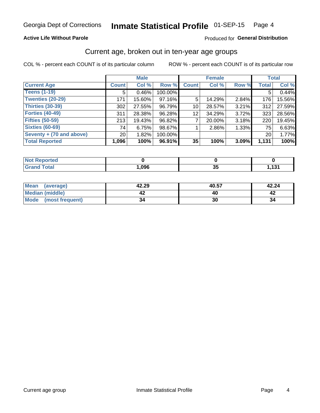#### **Active Life Without Parole**

#### Produced for General Distribution

#### Current age, broken out in ten-year age groups

COL % - percent each COUNT is of its particular column

|                          | <b>Male</b>     |          |         | <b>Female</b> |        |       | <b>Total</b>    |        |
|--------------------------|-----------------|----------|---------|---------------|--------|-------|-----------------|--------|
| <b>Current Age</b>       | <b>Count</b>    | Col %    | Row %   | <b>Count</b>  | Col %  | Row % | <b>Total</b>    | Col %  |
| <b>Teens (1-19)</b>      | 5               | $0.46\%$ | 100.00% |               |        |       | 5               | 0.44%  |
| <b>Twenties (20-29)</b>  | 171             | 15.60%   | 97.16%  | 5             | 14.29% | 2.84% | 176             | 15.56% |
| Thirties (30-39)         | 302             | 27.55%   | 96.79%  | 10            | 28.57% | 3.21% | 312             | 27.59% |
| <b>Forties (40-49)</b>   | 311             | 28.38%   | 96.28%  | 12            | 34.29% | 3.72% | 323             | 28.56% |
| <b>Fifties (50-59)</b>   | 213             | 19.43%   | 96.82%  |               | 20.00% | 3.18% | 220             | 19.45% |
| <b>Sixties (60-69)</b>   | 74              | 6.75%    | 98.67%  |               | 2.86%  | 1.33% | 75              | 6.63%  |
| Seventy + (70 and above) | 20 <sub>1</sub> | 1.82%    | 100.00% |               |        |       | 20 <sub>1</sub> | 1.77%  |
| <b>Total Reported</b>    | 1,096           | 100%     | 96.91%  | 35            | 100%   | 3.09% | 1,131           | 100%   |

| `enorted<br>NOT<br>$\sim$ . The set of $\sim$ |      |   |       |
|-----------------------------------------------|------|---|-------|
| <b>Total</b><br><b>COMMA</b>                  | ,096 | ◡ | 1,131 |

| Mean<br>(average)    | 42.29 | 40.57 | 42.24 |
|----------------------|-------|-------|-------|
| Median (middle)      |       |       |       |
| Mode (most frequent) | 34    | 30    | 34    |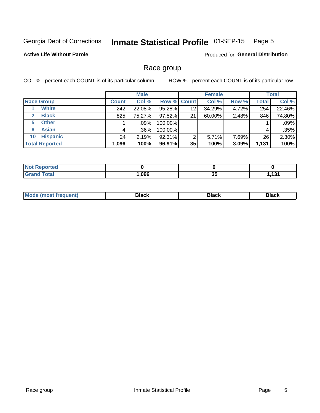#### Inmate Statistical Profile 01-SEP-15 Page 5

#### **Active Life Without Parole**

Produced for General Distribution

#### Race group

COL % - percent each COUNT is of its particular column

|                              |              | <b>Male</b> |         |                    | <b>Female</b> |       |       | <b>Total</b> |  |
|------------------------------|--------------|-------------|---------|--------------------|---------------|-------|-------|--------------|--|
| <b>Race Group</b>            | <b>Count</b> | Col %       |         | <b>Row % Count</b> | Col %         | Row % | Total | Col %        |  |
| <b>White</b>                 | 242          | 22.08%      | 95.28%  | 12                 | 34.29%        | 4.72% | 254   | 22.46%       |  |
| <b>Black</b><br>$\mathbf{2}$ | 825          | 75.27%      | 97.52%  | 21                 | 60.00%        | 2.48% | 846   | 74.80%       |  |
| <b>Other</b><br>5.           |              | $.09\%$     | 100.00% |                    |               |       |       | .09%         |  |
| <b>Asian</b><br>6            | 4            | .36%        | 100.00% |                    |               |       | 4     | .35%         |  |
| <b>Hispanic</b><br>10        | 24           | 2.19%       | 92.31%  | 2                  | 5.71%         | 7.69% | 26    | 2.30%        |  |
| <b>Total Reported</b>        | 1,096        | 100%        | 96.91%  | 35                 | 100%          | 3.09% | 1,131 | 100%         |  |

| rted         |      |                 |               |
|--------------|------|-----------------|---------------|
| <b>Total</b> | ,096 | . .<br>п.<br>ುು | 4.24<br>1 J I |

| маст |  | M |  |  |  |
|------|--|---|--|--|--|
|------|--|---|--|--|--|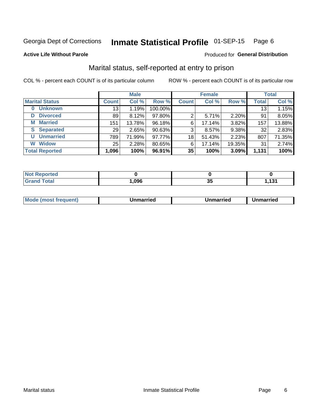#### Inmate Statistical Profile 01-SEP-15 Page 6

#### **Active Life Without Parole**

#### Produced for General Distribution

### Marital status, self-reported at entry to prison

COL % - percent each COUNT is of its particular column

|                       | <b>Male</b>  |        |         | <b>Female</b> |        |        | <b>Total</b> |        |
|-----------------------|--------------|--------|---------|---------------|--------|--------|--------------|--------|
| <b>Marital Status</b> | <b>Count</b> | Col %  | Row %   | <b>Count</b>  | Col %  | Row %  | <b>Total</b> | Col %  |
| <b>Unknown</b><br>0   | 13           | 1.19%  | 100.00% |               |        |        | 13           | 1.15%  |
| <b>Divorced</b><br>D  | 89           | 8.12%  | 97.80%  | 2             | 5.71%  | 2.20%  | 91           | 8.05%  |
| <b>Married</b><br>М   | 151          | 13.78% | 96.18%  | 6             | 17.14% | 3.82%  | 157          | 13.88% |
| <b>Separated</b><br>S | 29           | 2.65%  | 90.63%  | 3             | 8.57%  | 9.38%  | 32           | 2.83%  |
| <b>Unmarried</b><br>U | 789          | 71.99% | 97.77%  | 18            | 51.43% | 2.23%  | 807          | 71.35% |
| <b>Widow</b><br>W     | 25           | 2.28%  | 80.65%  | 6             | 17.14% | 19.35% | 31           | 2.74%  |
| <b>Total Reported</b> | 1,096        | 100%   | 96.91%  | 35            | 100%   | 3.09%  | 1,131        | 100%   |

| <b>Not Reported</b><br>. <b>.</b> |      |    |  |
|-----------------------------------|------|----|--|
| <b>Total</b>                      | ,096 | v. |  |

|--|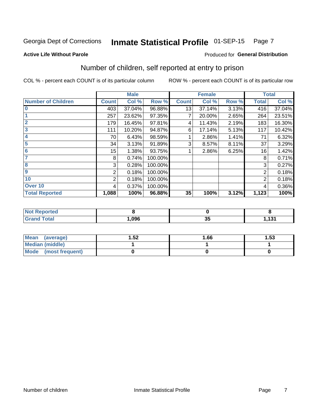#### Inmate Statistical Profile 01-SEP-15 Page 7

Produced for General Distribution

#### **Active Life Without Parole**

### Number of children, self reported at entry to prison

COL % - percent each COUNT is of its particular column

|                           |                 | <b>Male</b> |         |              | <b>Female</b> |       |              | <b>Total</b> |
|---------------------------|-----------------|-------------|---------|--------------|---------------|-------|--------------|--------------|
| <b>Number of Children</b> | <b>Count</b>    | Col %       | Row %   | <b>Count</b> | Col %         | Row % | <b>Total</b> | Col %        |
| $\bf{0}$                  | 403             | 37.04%      | 96.88%  | 13           | 37.14%        | 3.13% | 416          | 37.04%       |
|                           | 257             | 23.62%      | 97.35%  |              | 20.00%        | 2.65% | 264          | 23.51%       |
| $\overline{2}$            | 179             | 16.45%      | 97.81%  | 4            | 11.43%        | 2.19% | 183          | 16.30%       |
| 3                         | 111             | 10.20%      | 94.87%  | 6            | 17.14%        | 5.13% | 117          | 10.42%       |
| 4                         | 70              | 6.43%       | 98.59%  |              | 2.86%         | 1.41% | 71           | 6.32%        |
| 5                         | 34              | 3.13%       | 91.89%  | 3            | 8.57%         | 8.11% | 37           | 3.29%        |
| 6                         | 15 <sub>1</sub> | 1.38%       | 93.75%  |              | 2.86%         | 6.25% | 16           | 1.42%        |
| 7                         | 8               | 0.74%       | 100.00% |              |               |       | 8            | 0.71%        |
| 8                         | 3               | 0.28%       | 100.00% |              |               |       | 3            | 0.27%        |
| 9                         | 2               | 0.18%       | 100.00% |              |               |       | 2            | 0.18%        |
| 10                        | $\overline{2}$  | 0.18%       | 100.00% |              |               |       | 2            | 0.18%        |
| Over 10                   | 4               | 0.37%       | 100.00% |              |               |       | 4            | 0.36%        |
| <b>Total Reported</b>     | 1,088           | 100%        | 96.88%  | 35           | 100%          | 3.12% | 1,123        | 100%         |

| neo                              |      |                      |             |
|----------------------------------|------|----------------------|-------------|
| المقماد<br><b>Jtai</b><br>$\sim$ | ,096 | $\sim$ $\sim$<br>ึงง | 4.94<br>. . |

| <b>Mean</b><br>(average) | 1.52 | 1.66 | l.53 |
|--------------------------|------|------|------|
| Median (middle)          |      |      |      |
| Mode<br>(most frequent)  |      |      |      |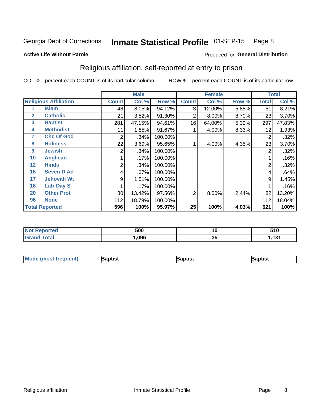#### Inmate Statistical Profile 01-SEP-15 Page 8

#### **Active Life Without Parole**

#### Produced for General Distribution

### Religious affiliation, self-reported at entry to prison

COL % - percent each COUNT is of its particular column

|              |                              |              | <b>Male</b> |         |              | <b>Female</b> |       |                | <b>Total</b> |
|--------------|------------------------------|--------------|-------------|---------|--------------|---------------|-------|----------------|--------------|
|              | <b>Religious Affiliation</b> | <b>Count</b> | Col %       | Row %   | <b>Count</b> | Col %         | Row % | <b>Total</b>   | Col %        |
|              | <b>Islam</b>                 | 48           | 8.05%       | 94.12%  | 3            | 12.00%        | 5.88% | 51             | 8.21%        |
| $\mathbf{2}$ | <b>Catholic</b>              | 21           | 3.52%       | 91.30%  | 2            | 8.00%         | 8.70% | 23             | 3.70%        |
| 3            | <b>Baptist</b>               | 281          | 47.15%      | 94.61%  | 16           | 64.00%        | 5.39% | 297            | 47.83%       |
| 4            | <b>Methodist</b>             | 11           | 1.85%       | 91.67%  |              | 4.00%         | 8.33% | 12             | 1.93%        |
| 7            | <b>Chc Of God</b>            | 2            | .34%        | 100.00% |              |               |       | 2              | .32%         |
| 8            | <b>Holiness</b>              | 22           | 3.69%       | 95.65%  |              | 4.00%         | 4.35% | 23             | 3.70%        |
| 9            | <b>Jewish</b>                | 2            | .34%        | 100.00% |              |               |       | $\overline{2}$ | .32%         |
| 10           | <b>Anglican</b>              |              | .17%        | 100.00% |              |               |       |                | .16%         |
| 12           | <b>Hindu</b>                 | 2            | .34%        | 100.00% |              |               |       | $\overline{2}$ | .32%         |
| 16           | <b>Seven D Ad</b>            | 4            | .67%        | 100.00% |              |               |       | 4              | .64%         |
| 17           | <b>Jehovah Wt</b>            | 9            | 1.51%       | 100.00% |              |               |       | 9              | 1.45%        |
| 18           | <b>Latr Day S</b>            |              | .17%        | 100.00% |              |               |       |                | .16%         |
| 20           | <b>Other Prot</b>            | 80           | 13.42%      | 97.56%  | 2            | 8.00%         | 2.44% | 82             | 13.20%       |
| 96           | <b>None</b>                  | 112          | 18.79%      | 100.00% |              |               |       | 112            | 18.04%       |
|              | <b>Total Reported</b>        | 596          | 100%        | 95.97%  | 25           | 100%          | 4.03% | 621            | 100%         |

| neo     | <b>FAA</b><br>JUU | 10        | <b>F40</b><br>. v |
|---------|-------------------|-----------|-------------------|
| $C = 4$ | ,096              | ^ -<br>v. | 4.94<br>U J       |

| <b>Mode (most frequent)</b> | Baptist | Baptist | Baptist |
|-----------------------------|---------|---------|---------|
|-----------------------------|---------|---------|---------|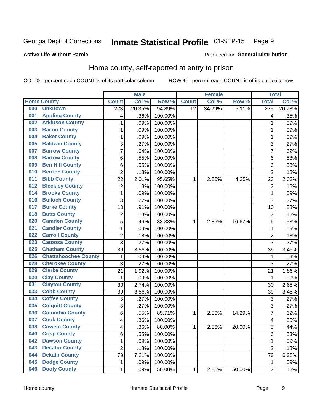#### Inmate Statistical Profile 01-SEP-15 Page 9

#### **Active Life Without Parole**

#### Produced for General Distribution

### Home county, self-reported at entry to prison

COL % - percent each COUNT is of its particular column

|     |                             |                  | <b>Male</b> |         |                 | <b>Female</b> |        | <b>Total</b>   |        |
|-----|-----------------------------|------------------|-------------|---------|-----------------|---------------|--------|----------------|--------|
|     | <b>Home County</b>          | <b>Count</b>     | Col %       | Row %   | <b>Count</b>    | Col %         | Row %  | <b>Total</b>   | Col %  |
| 000 | <b>Unknown</b>              | $\overline{223}$ | 20.35%      | 94.89%  | $\overline{12}$ | 34.29%        | 5.11%  | 235            | 20.78% |
| 001 | <b>Appling County</b>       | 4                | .36%        | 100.00% |                 |               |        | 4              | .35%   |
| 002 | <b>Atkinson County</b>      | 1                | .09%        | 100.00% |                 |               |        | 1              | .09%   |
| 003 | <b>Bacon County</b>         | 1                | .09%        | 100.00% |                 |               |        | 1              | .09%   |
| 004 | <b>Baker County</b>         | $\mathbf 1$      | .09%        | 100.00% |                 |               |        | 1              | .09%   |
| 005 | <b>Baldwin County</b>       | 3                | .27%        | 100.00% |                 |               |        | 3              | .27%   |
| 007 | <b>Barrow County</b>        | $\overline{7}$   | .64%        | 100.00% |                 |               |        | $\overline{7}$ | .62%   |
| 008 | <b>Bartow County</b>        | 6                | .55%        | 100.00% |                 |               |        | 6              | .53%   |
| 009 | <b>Ben Hill County</b>      | 6                | .55%        | 100.00% |                 |               |        | 6              | .53%   |
| 010 | <b>Berrien County</b>       | $\overline{2}$   | .18%        | 100.00% |                 |               |        | $\overline{2}$ | .18%   |
| 011 | <b>Bibb County</b>          | 22               | 2.01%       | 95.65%  | 1               | 2.86%         | 4.35%  | 23             | 2.03%  |
| 012 | <b>Bleckley County</b>      | $\overline{2}$   | .18%        | 100.00% |                 |               |        | $\overline{2}$ | .18%   |
| 014 | <b>Brooks County</b>        | $\mathbf{1}$     | .09%        | 100.00% |                 |               |        | 1              | .09%   |
| 016 | <b>Bulloch County</b>       | 3                | .27%        | 100.00% |                 |               |        | 3              | .27%   |
| 017 | <b>Burke County</b>         | 10               | .91%        | 100.00% |                 |               |        | 10             | .88%   |
| 018 | <b>Butts County</b>         | $\overline{2}$   | .18%        | 100.00% |                 |               |        | $\overline{2}$ | .18%   |
| 020 | <b>Camden County</b>        | 5                | .46%        | 83.33%  | 1               | 2.86%         | 16.67% | 6              | .53%   |
| 021 | <b>Candler County</b>       | $\mathbf 1$      | .09%        | 100.00% |                 |               |        | 1              | .09%   |
| 022 | <b>Carroll County</b>       | $\overline{c}$   | .18%        | 100.00% |                 |               |        | $\overline{c}$ | .18%   |
| 023 | <b>Catoosa County</b>       | 3                | .27%        | 100.00% |                 |               |        | 3              | .27%   |
| 025 | <b>Chatham County</b>       | 39               | 3.56%       | 100.00% |                 |               |        | 39             | 3.45%  |
| 026 | <b>Chattahoochee County</b> | 1                | .09%        | 100.00% |                 |               |        | 1              | .09%   |
| 028 | <b>Cherokee County</b>      | 3                | .27%        | 100.00% |                 |               |        | 3              | .27%   |
| 029 | <b>Clarke County</b>        | 21               | 1.92%       | 100.00% |                 |               |        | 21             | 1.86%  |
| 030 | <b>Clay County</b>          | 1                | .09%        | 100.00% |                 |               |        | 1              | .09%   |
| 031 | <b>Clayton County</b>       | 30               | 2.74%       | 100.00% |                 |               |        | 30             | 2.65%  |
| 033 | <b>Cobb County</b>          | 39               | 3.56%       | 100.00% |                 |               |        | 39             | 3.45%  |
| 034 | <b>Coffee County</b>        | 3                | .27%        | 100.00% |                 |               |        | 3              | .27%   |
| 035 | <b>Colquitt County</b>      | 3                | .27%        | 100.00% |                 |               |        | 3              | .27%   |
| 036 | <b>Columbia County</b>      | 6                | .55%        | 85.71%  | 1               | 2.86%         | 14.29% | 7              | .62%   |
| 037 | <b>Cook County</b>          | 4                | .36%        | 100.00% |                 |               |        | 4              | .35%   |
| 038 | <b>Coweta County</b>        | 4                | .36%        | 80.00%  | 1               | 2.86%         | 20.00% | 5              | .44%   |
| 040 | <b>Crisp County</b>         | 6                | .55%        | 100.00% |                 |               |        | 6              | .53%   |
| 042 | <b>Dawson County</b>        | $\mathbf{1}$     | .09%        | 100.00% |                 |               |        | 1              | .09%   |
| 043 | <b>Decatur County</b>       | $\overline{2}$   | .18%        | 100.00% |                 |               |        | 2              | .18%   |
| 044 | <b>Dekalb County</b>        | 79               | 7.21%       | 100.00% |                 |               |        | 79             | 6.98%  |
| 045 | <b>Dodge County</b>         | 1                | .09%        | 100.00% |                 |               |        | 1              | .09%   |
| 046 | <b>Dooly County</b>         | 1                | .09%        | 50.00%  | $\mathbf 1$     | 2.86%         | 50.00% | $\overline{2}$ | .18%   |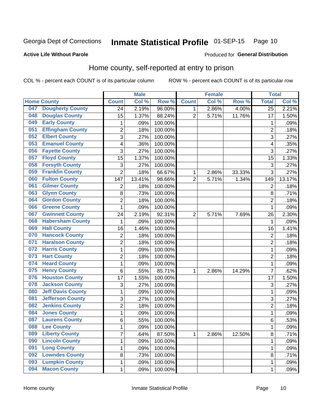#### Inmate Statistical Profile 01-SEP-15 Page 10

#### **Active Life Without Parole**

#### Produced for General Distribution

### Home county, self-reported at entry to prison

COL % - percent each COUNT is of its particular column

|     |                          |                | <b>Male</b> |         |                | <b>Female</b> |        | <b>Total</b>    |        |
|-----|--------------------------|----------------|-------------|---------|----------------|---------------|--------|-----------------|--------|
|     | <b>Home County</b>       | <b>Count</b>   | Col %       | Row %   | <b>Count</b>   | Col %         | Row %  | <b>Total</b>    | Col %  |
| 047 | <b>Dougherty County</b>  | 24             | 2.19%       | 96.00%  | 1.             | 2.86%         | 4.00%  | $\overline{25}$ | 2.21%  |
| 048 | <b>Douglas County</b>    | 15             | 1.37%       | 88.24%  | $\overline{2}$ | 5.71%         | 11.76% | 17              | 1.50%  |
| 049 | <b>Early County</b>      | $\mathbf 1$    | .09%        | 100.00% |                |               |        | 1               | .09%   |
| 051 | <b>Effingham County</b>  | $\overline{c}$ | .18%        | 100.00% |                |               |        | $\overline{2}$  | .18%   |
| 052 | <b>Elbert County</b>     | $\overline{3}$ | .27%        | 100.00% |                |               |        | 3               | .27%   |
| 053 | <b>Emanuel County</b>    | 4              | .36%        | 100.00% |                |               |        | 4               | .35%   |
| 056 | <b>Fayette County</b>    | 3              | .27%        | 100.00% |                |               |        | 3               | .27%   |
| 057 | <b>Floyd County</b>      | 15             | 1.37%       | 100.00% |                |               |        | 15              | 1.33%  |
| 058 | <b>Forsyth County</b>    | 3              | .27%        | 100.00% |                |               |        | 3               | .27%   |
| 059 | <b>Franklin County</b>   | $\overline{2}$ | .18%        | 66.67%  | 1              | 2.86%         | 33.33% | 3               | .27%   |
| 060 | <b>Fulton County</b>     | 147            | 13.41%      | 98.66%  | $\overline{2}$ | 5.71%         | 1.34%  | 149             | 13.17% |
| 061 | <b>Gilmer County</b>     | $\overline{c}$ | .18%        | 100.00% |                |               |        | $\overline{2}$  | .18%   |
| 063 | <b>Glynn County</b>      | 8              | .73%        | 100.00% |                |               |        | 8               | .71%   |
| 064 | <b>Gordon County</b>     | $\overline{c}$ | .18%        | 100.00% |                |               |        | $\overline{2}$  | .18%   |
| 066 | <b>Greene County</b>     | $\mathbf{1}$   | .09%        | 100.00% |                |               |        | 1               | .09%   |
| 067 | <b>Gwinnett County</b>   | 24             | 2.19%       | 92.31%  | $\overline{2}$ | 5.71%         | 7.69%  | 26              | 2.30%  |
| 068 | <b>Habersham County</b>  | 1              | .09%        | 100.00% |                |               |        | 1               | .09%   |
| 069 | <b>Hall County</b>       | 16             | 1.46%       | 100.00% |                |               |        | 16              | 1.41%  |
| 070 | <b>Hancock County</b>    | $\overline{2}$ | .18%        | 100.00% |                |               |        | $\overline{2}$  | .18%   |
| 071 | <b>Haralson County</b>   | $\overline{2}$ | .18%        | 100.00% |                |               |        | $\overline{2}$  | .18%   |
| 072 | <b>Harris County</b>     | $\mathbf 1$    | .09%        | 100.00% |                |               |        | 1               | .09%   |
| 073 | <b>Hart County</b>       | $\overline{c}$ | .18%        | 100.00% |                |               |        | $\overline{2}$  | .18%   |
| 074 | <b>Heard County</b>      | $\mathbf 1$    | .09%        | 100.00% |                |               |        | 1               | .09%   |
| 075 | <b>Henry County</b>      | 6              | .55%        | 85.71%  | 1              | 2.86%         | 14.29% | $\overline{7}$  | .62%   |
| 076 | <b>Houston County</b>    | 17             | 1.55%       | 100.00% |                |               |        | 17              | 1.50%  |
| 078 | <b>Jackson County</b>    | 3              | .27%        | 100.00% |                |               |        | 3               | .27%   |
| 080 | <b>Jeff Davis County</b> | $\mathbf 1$    | .09%        | 100.00% |                |               |        | 1               | .09%   |
| 081 | <b>Jefferson County</b>  | 3              | .27%        | 100.00% |                |               |        | 3               | .27%   |
| 082 | <b>Jenkins County</b>    | $\overline{c}$ | .18%        | 100.00% |                |               |        | $\overline{2}$  | .18%   |
| 084 | <b>Jones County</b>      | $\mathbf 1$    | .09%        | 100.00% |                |               |        | 1               | .09%   |
| 087 | <b>Laurens County</b>    | 6              | .55%        | 100.00% |                |               |        | 6               | .53%   |
| 088 | <b>Lee County</b>        | $\mathbf 1$    | .09%        | 100.00% |                |               |        | 1               | .09%   |
| 089 | <b>Liberty County</b>    | $\overline{7}$ | .64%        | 87.50%  | 1              | 2.86%         | 12.50% | 8               | .71%   |
| 090 | <b>Lincoln County</b>    | $\mathbf{1}$   | .09%        | 100.00% |                |               |        | 1               | .09%   |
| 091 | <b>Long County</b>       | $\mathbf 1$    | .09%        | 100.00% |                |               |        | 1               | .09%   |
| 092 | <b>Lowndes County</b>    | 8              | .73%        | 100.00% |                |               |        | 8               | .71%   |
| 093 | <b>Lumpkin County</b>    | $\mathbf{1}$   | .09%        | 100.00% |                |               |        | 1               | .09%   |
| 094 | <b>Macon County</b>      | $\mathbf{1}$   | .09%        | 100.00% |                |               |        | 1               | .09%   |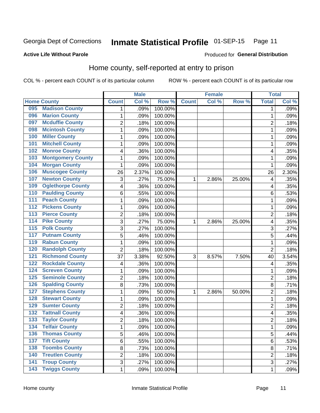#### Inmate Statistical Profile 01-SEP-15 Page 11

#### **Active Life Without Parole**

#### Produced for General Distribution

### Home county, self-reported at entry to prison

COL % - percent each COUNT is of its particular column

|                  |                          |                         | <b>Male</b> |         | <b>Female</b> |       | <b>Total</b> |                |         |
|------------------|--------------------------|-------------------------|-------------|---------|---------------|-------|--------------|----------------|---------|
|                  | <b>Home County</b>       | <b>Count</b>            | Col %       | Row %   | <b>Count</b>  | Col % | Row %        | <b>Total</b>   | Col %   |
| 095              | <b>Madison County</b>    | 1                       | .09%        | 100.00% |               |       |              | 1              | .09%    |
| 096              | <b>Marion County</b>     | $\mathbf{1}$            | .09%        | 100.00% |               |       |              | 1              | .09%    |
| 097              | <b>Mcduffie County</b>   | $\overline{c}$          | .18%        | 100.00% |               |       |              | $\overline{c}$ | .18%    |
| 098              | <b>Mcintosh County</b>   | $\mathbf{1}$            | .09%        | 100.00% |               |       |              | 1              | .09%    |
| 100              | <b>Miller County</b>     | $\mathbf{1}$            | .09%        | 100.00% |               |       |              | 1              | .09%    |
| 101              | <b>Mitchell County</b>   | $\mathbf{1}$            | .09%        | 100.00% |               |       |              | 1              | .09%    |
| 102              | <b>Monroe County</b>     | 4                       | .36%        | 100.00% |               |       |              | 4              | .35%    |
| 103              | <b>Montgomery County</b> | $\mathbf{1}$            | .09%        | 100.00% |               |       |              | 1              | .09%    |
| 104              | <b>Morgan County</b>     | $\mathbf{1}$            | .09%        | 100.00% |               |       |              | 1              | .09%    |
| 106              | <b>Muscogee County</b>   | 26                      | 2.37%       | 100.00% |               |       |              | 26             | 2.30%   |
| 107              | <b>Newton County</b>     | 3                       | .27%        | 75.00%  | 1             | 2.86% | 25.00%       | 4              | .35%    |
| 109              | <b>Oglethorpe County</b> | 4                       | .36%        | 100.00% |               |       |              | 4              | .35%    |
| 110              | <b>Paulding County</b>   | 6                       | .55%        | 100.00% |               |       |              | 6              | .53%    |
| 111              | <b>Peach County</b>      | $\mathbf{1}$            | .09%        | 100.00% |               |       |              | 1              | .09%    |
| 112              | <b>Pickens County</b>    | $\mathbf{1}$            | .09%        | 100.00% |               |       |              | 1              | .09%    |
| $\overline{113}$ | <b>Pierce County</b>     | $\overline{2}$          | .18%        | 100.00% |               |       |              | $\overline{2}$ | .18%    |
| 114              | <b>Pike County</b>       | 3                       | .27%        | 75.00%  | 1             | 2.86% | 25.00%       | 4              | .35%    |
| $\overline{115}$ | <b>Polk County</b>       | 3                       | .27%        | 100.00% |               |       |              | 3              | .27%    |
| 117              | <b>Putnam County</b>     | 5                       | .46%        | 100.00% |               |       |              | 5              | .44%    |
| 119              | <b>Rabun County</b>      | $\mathbf{1}$            | .09%        | 100.00% |               |       |              | 1              | .09%    |
| 120              | <b>Randolph County</b>   | $\overline{2}$          | .18%        | 100.00% |               |       |              | 2              | .18%    |
| 121              | <b>Richmond County</b>   | 37                      | 3.38%       | 92.50%  | 3             | 8.57% | 7.50%        | 40             | 3.54%   |
| 122              | <b>Rockdale County</b>   | 4                       | .36%        | 100.00% |               |       |              | 4              | .35%    |
| 124              | <b>Screven County</b>    | 1                       | .09%        | 100.00% |               |       |              | 1              | .09%    |
| 125              | <b>Seminole County</b>   | $\overline{2}$          | .18%        | 100.00% |               |       |              | 2              | .18%    |
| 126              | <b>Spalding County</b>   | 8                       | .73%        | 100.00% |               |       |              | 8              | .71%    |
| 127              | <b>Stephens County</b>   | $\mathbf{1}$            | .09%        | 50.00%  | 1             | 2.86% | 50.00%       | $\overline{2}$ | .18%    |
| 128              | <b>Stewart County</b>    | $\mathbf{1}$            | .09%        | 100.00% |               |       |              | 1              | .09%    |
| 129              | <b>Sumter County</b>     | $\overline{2}$          | .18%        | 100.00% |               |       |              | 2              | .18%    |
| 132              | <b>Tattnall County</b>   | $\overline{\mathbf{4}}$ | .36%        | 100.00% |               |       |              | 4              | $.35\%$ |
| 133              | <b>Taylor County</b>     | $\overline{2}$          | .18%        | 100.00% |               |       |              | $\overline{2}$ | .18%    |
| 134              | <b>Telfair County</b>    | 1                       | .09%        | 100.00% |               |       |              | 1              | .09%    |
| 136              | <b>Thomas County</b>     | 5                       | .46%        | 100.00% |               |       |              | 5              | .44%    |
| 137              | <b>Tift County</b>       | $\,6\,$                 | .55%        | 100.00% |               |       |              | 6              | .53%    |
| 138              | <b>Toombs County</b>     | 8                       | .73%        | 100.00% |               |       |              | 8              | .71%    |
| 140              | <b>Treutlen County</b>   | $\overline{2}$          | .18%        | 100.00% |               |       |              | 2              | .18%    |
| 141              | <b>Troup County</b>      | 3                       | .27%        | 100.00% |               |       |              | 3              | .27%    |
| $\overline{143}$ | <b>Twiggs County</b>     | $\mathbf 1$             | .09%        | 100.00% |               |       |              | 1              | .09%    |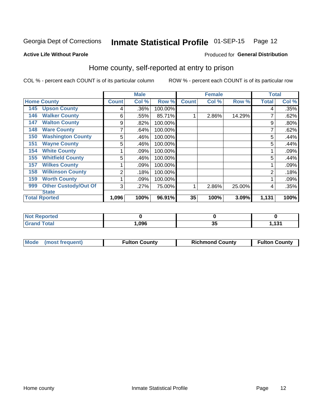## Inmate Statistical Profile 01-SEP-15 Page 12

#### **Active Life Without Parole**

#### Produced for General Distribution

### Home county, self-reported at entry to prison

COL % - percent each COUNT is of its particular column

|                                    |              | <b>Male</b> |         |              | <b>Female</b> |        | <b>Total</b> |       |
|------------------------------------|--------------|-------------|---------|--------------|---------------|--------|--------------|-------|
| <b>Home County</b>                 | <b>Count</b> | Col %       | Row %   | <b>Count</b> | Col %         | Row %  | <b>Total</b> | Col % |
| <b>Upson County</b><br>145         | 4            | .36%        | 100.00% |              |               |        | 4            | .35%  |
| <b>Walker County</b><br>146        | 6            | .55%        | 85.71%  |              | 2.86%         | 14.29% |              | .62%  |
| <b>Walton County</b><br>147        | 9            | .82%        | 100.00% |              |               |        | 9            | .80%  |
| <b>Ware County</b><br>148          | 7            | .64%        | 100.00% |              |               |        |              | .62%  |
| <b>Washington County</b><br>150    | 5            | .46%        | 100.00% |              |               |        | 5            | .44%  |
| <b>Wayne County</b><br>151         | 5            | .46%        | 100.00% |              |               |        | 5            | .44%  |
| <b>White County</b><br>154         |              | .09%        | 100.00% |              |               |        |              | .09%  |
| <b>Whitfield County</b><br>155     | 5            | .46%        | 100.00% |              |               |        | 5            | .44%  |
| <b>Wilkes County</b><br>157        |              | .09%        | 100.00% |              |               |        |              | .09%  |
| <b>Wilkinson County</b><br>158     | 2            | .18%        | 100.00% |              |               |        | 2            | .18%  |
| <b>Worth County</b><br>159         |              | .09%        | 100.00% |              |               |        |              | .09%  |
| <b>Other Custody/Out Of</b><br>999 | 3            | .27%        | 75.00%  | 1            | 2.86%         | 25.00% | 4            | .35%  |
| <b>State</b>                       |              |             |         |              |               |        |              |       |
| <b>Total Rported</b>               | 1,096        | 100%        | 96.91%  | 35           | 100%          | 3.09%  | 1,131        | 100%  |

| ported<br><b>NOT</b> |      |          |             |
|----------------------|------|----------|-------------|
| $\sim$ to $\sim$     | ,096 | ^^<br>vu | 121<br>10 L |

| Mode (most frequent) | <b>Fulton County</b> | <b>Richmond County</b> | <b>Fulton County</b> |
|----------------------|----------------------|------------------------|----------------------|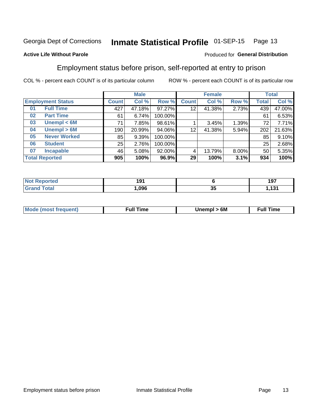#### Inmate Statistical Profile 01-SEP-15 Page 13

#### **Active Life Without Parole**

#### Produced for General Distribution

### Employment status before prison, self-reported at entry to prison

COL % - percent each COUNT is of its particular column

|                           |              | <b>Male</b> |         |              | <b>Female</b> |          |       | <b>Total</b> |
|---------------------------|--------------|-------------|---------|--------------|---------------|----------|-------|--------------|
| <b>Employment Status</b>  | <b>Count</b> | Col %       | Row %   | <b>Count</b> | Col %         | Row %    | Total | Col %        |
| <b>Full Time</b><br>01    | 427          | 47.18%      | 97.27%  | 12           | 41.38%        | 2.73%    | 439   | 47.00%       |
| <b>Part Time</b><br>02    | 61           | 6.74%       | 100.00% |              |               |          | 61    | 6.53%        |
| Unempl $<$ 6M<br>03       | 71           | 7.85%       | 98.61%  |              | 3.45%         | 1.39%    | 72    | 7.71%        |
| Unempl $> 6M$<br>04       | 190          | 20.99%      | 94.06%  | 12           | 41.38%        | 5.94%    | 202   | 21.63%       |
| <b>Never Worked</b><br>05 | 85           | 9.39%       | 100.00% |              |               |          | 85    | 9.10%        |
| <b>Student</b><br>06      | 25           | 2.76%       | 100.00% |              |               |          | 25    | 2.68%        |
| <b>Incapable</b><br>07    | 46           | 5.08%       | 92.00%  |              | 13.79%        | $8.00\%$ | 50    | 5.35%        |
| <b>Total Reported</b>     | 905          | 100%        | 96.9%   | 29           | 100%          | 3.1%     | 934   | 100%         |

| <b>State Administration</b><br>τeι | 1۵′<br>. |   | --<br><br>1 J I |
|------------------------------------|----------|---|-----------------|
| $T \cap 4 \cap T$                  | .096     | ◡ | . ה             |

| <b>Mode (most frequent)</b> | Full 1<br>™e | 6M | īme<br>™ul |
|-----------------------------|--------------|----|------------|
|                             |              |    |            |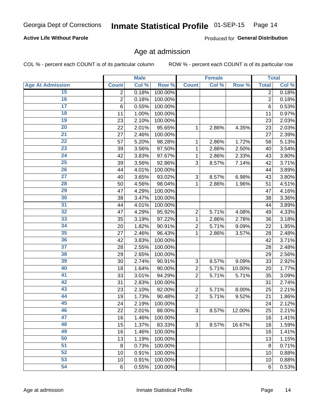#### **Active Life Without Parole**

Produced for General Distribution

#### Age at admission

COL % - percent each COUNT is of its particular column

|                         |                | <b>Male</b> |         |                | <b>Female</b> |        |                | <b>Total</b> |
|-------------------------|----------------|-------------|---------|----------------|---------------|--------|----------------|--------------|
| <b>Age At Admission</b> | <b>Count</b>   | Col %       | Row %   | <b>Count</b>   | Col %         | Row %  | <b>Total</b>   | Col %        |
| 15                      | 2              | 0.18%       | 100.00% |                |               |        | $\overline{2}$ | 0.18%        |
| 16                      | $\overline{c}$ | 0.18%       | 100.00% |                |               |        | $\overline{2}$ | 0.18%        |
| $\overline{17}$         | $\,6$          | 0.55%       | 100.00% |                |               |        | 6              | 0.53%        |
| 18                      | 11             | 1.00%       | 100.00% |                |               |        | 11             | 0.97%        |
| 19                      | 23             | 2.10%       | 100.00% |                |               |        | 23             | 2.03%        |
| $\overline{20}$         | 22             | 2.01%       | 95.65%  | 1              | 2.86%         | 4.35%  | 23             | 2.03%        |
| 21                      | 27             | 2.46%       | 100.00% |                |               |        | 27             | 2.39%        |
| $\overline{22}$         | 57             | 5.20%       | 98.28%  | 1              | 2.86%         | 1.72%  | 58             | 5.13%        |
| $\overline{23}$         | 39             | 3.56%       | 97.50%  | 1              | 2.86%         | 2.50%  | 40             | 3.54%        |
| $\overline{24}$         | 42             | 3.83%       | 97.67%  | 1              | 2.86%         | 2.33%  | 43             | 3.80%        |
| 25                      | 39             | 3.56%       | 92.86%  | 3              | 8.57%         | 7.14%  | 42             | 3.71%        |
| 26                      | 44             | 4.01%       | 100.00% |                |               |        | 44             | 3.89%        |
| $\overline{27}$         | 40             | 3.65%       | 93.02%  | $\mathbf{3}$   | 8.57%         | 6.98%  | 43             | 3.80%        |
| 28                      | 50             | 4.56%       | 98.04%  | 1              | 2.86%         | 1.96%  | 51             | 4.51%        |
| 29                      | 47             | 4.29%       | 100.00% |                |               |        | 47             | 4.16%        |
| 30                      | 38             | 3.47%       | 100.00% |                |               |        | 38             | 3.36%        |
| 31                      | 44             | 4.01%       | 100.00% |                |               |        | 44             | 3.89%        |
| $\overline{32}$         | 47             | 4.29%       | 95.92%  | 2              | 5.71%         | 4.08%  | 49             | 4.33%        |
| 33                      | 35             | 3.19%       | 97.22%  | 1              | 2.86%         | 2.78%  | 36             | 3.18%        |
| $\overline{34}$         | 20             | 1.82%       | 90.91%  | $\overline{2}$ | 5.71%         | 9.09%  | 22             | 1.95%        |
| 35                      | 27             | 2.46%       | 96.43%  | 1              | 2.86%         | 3.57%  | 28             | 2.48%        |
| 36                      | 42             | 3.83%       | 100.00% |                |               |        | 42             | 3.71%        |
| $\overline{37}$         | 28             | 2.55%       | 100.00% |                |               |        | 28             | 2.48%        |
| 38                      | 29             | 2.65%       | 100.00% |                |               |        | 29             | 2.56%        |
| 39                      | 30             | 2.74%       | 90.91%  | 3              | 8.57%         | 9.09%  | 33             | 2.92%        |
| 40                      | 18             | 1.64%       | 90.00%  | $\overline{c}$ | 5.71%         | 10.00% | 20             | 1.77%        |
| 41                      | 33             | 3.01%       | 94.29%  | $\overline{2}$ | 5.71%         | 5.71%  | 35             | 3.09%        |
| 42                      | 31             | 2.83%       | 100.00% |                |               |        | 31             | 2.74%        |
| 43                      | 23             | 2.10%       | 92.00%  | 2              | 5.71%         | 8.00%  | 25             | 2.21%        |
| 44                      | 19             | 1.73%       | 90.48%  | $\overline{2}$ | 5.71%         | 9.52%  | 21             | 1.86%        |
| 45                      | 24             | 2.19%       | 100.00% |                |               |        | 24             | 2.12%        |
| 46                      | 22             | 2.01%       | 88.00%  | 3              | 8.57%         | 12.00% | 25             | 2.21%        |
| 47                      | 16             | 1.46%       | 100.00% |                |               |        | 16             | 1.41%        |
| 48                      | 15             | 1.37%       | 83.33%  | 3              | 8.57%         | 16.67% | 18             | 1.59%        |
| 49                      | 16             | 1.46%       | 100.00% |                |               |        | 16             | 1.41%        |
| 50                      | 13             | 1.19%       | 100.00% |                |               |        | 13             | 1.15%        |
| $\overline{51}$         | 8              | 0.73%       | 100.00% |                |               |        | 8              | 0.71%        |
| 52                      | 10             | 0.91%       | 100.00% |                |               |        | 10             | 0.88%        |
| 53                      | 10             | 0.91%       | 100.00% |                |               |        | 10             | 0.88%        |
| 54                      | 6              | 0.55%       | 100.00% |                |               |        | 6              | 0.53%        |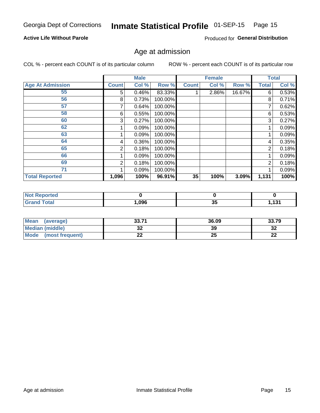## Inmate Statistical Profile 01-SEP-15 Page 15

#### **Active Life Without Parole**

Produced for General Distribution

#### Age at admission

COL % - percent each COUNT is of its particular column

|                         |              | <b>Male</b> |         |              | <b>Female</b> |        |                | <b>Total</b> |
|-------------------------|--------------|-------------|---------|--------------|---------------|--------|----------------|--------------|
| <b>Age At Admission</b> | <b>Count</b> | Col %       | Row %   | <b>Count</b> | Col %         | Row %  | <b>Total</b>   | Col %        |
| 55                      | 5            | 0.46%       | 83.33%  |              | 2.86%         | 16.67% | 6              | 0.53%        |
| 56                      | 8            | 0.73%       | 100.00% |              |               |        | 8              | 0.71%        |
| 57                      |              | 0.64%       | 100.00% |              |               |        |                | 0.62%        |
| 58                      | 6            | 0.55%       | 100.00% |              |               |        | 6              | 0.53%        |
| 60                      | 3            | 0.27%       | 100.00% |              |               |        | 3              | 0.27%        |
| 62                      |              | 0.09%       | 100.00% |              |               |        |                | 0.09%        |
| 63                      |              | 0.09%       | 100.00% |              |               |        |                | 0.09%        |
| 64                      | 4            | 0.36%       | 100.00% |              |               |        | 4              | 0.35%        |
| 65                      | 2            | 0.18%       | 100.00% |              |               |        | $\overline{2}$ | 0.18%        |
| 66                      |              | 0.09%       | 100.00% |              |               |        |                | 0.09%        |
| 69                      | 2            | 0.18%       | 100.00% |              |               |        | $\overline{2}$ | 0.18%        |
| 71                      |              | 0.09%       | 100.00% |              |               |        |                | 0.09%        |
| <b>Total Reported</b>   | 1,096        | 100%        | 96.91%  | 35           | 100%          | 3.09%  | 1,131          | 100%         |

| rteo        |      |                |            |
|-------------|------|----------------|------------|
| <b>otal</b> | ,096 | --<br>. .<br>◡ | 121<br>U J |

| <b>Mean</b><br>(average) | 33.71   | 36.09 | 33.79      |
|--------------------------|---------|-------|------------|
| <b>Median (middle)</b>   | JŁ      | 39    | - 20<br>⊾د |
| Mode<br>(most frequent)  | ົ<br>LL | 25    | ne.<br>LL  |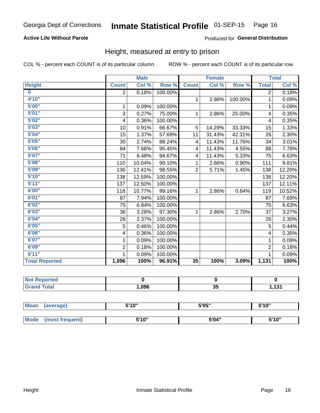#### **Active Life Without Parole**

#### Produced for General Distribution

#### Height, measured at entry to prison

COL % - percent each COUNT is of its particular column

|                       |                | <b>Male</b> |         |                | <b>Female</b>              |         |                | <b>Total</b> |
|-----------------------|----------------|-------------|---------|----------------|----------------------------|---------|----------------|--------------|
| <b>Height</b>         | <b>Count</b>   | Col %       | Row %   | <b>Count</b>   | $\overline{\text{Col }^9}$ | Row %   | <b>Total</b>   | Col %        |
| $\bf{0}$              | 2              | 0.18%       | 100.00% |                |                            |         | $\overline{2}$ | 0.18%        |
| 4'10"                 |                |             |         | $\mathbf{1}$   | 2.86%                      | 100.00% | 1              | 0.09%        |
| 5'00"                 | 1              | 0.09%       | 100.00% |                |                            |         | 1              | 0.09%        |
| 5'01"                 | 3              | 0.27%       | 75.00%  | 1              | 2.86%                      | 25.00%  | 4              | 0.35%        |
| 5'02"                 | 4              | 0.36%       | 100.00% |                |                            |         | 4              | 0.35%        |
| 5'03''                | 10             | 0.91%       | 66.67%  | 5              | 14.29%                     | 33.33%  | 15             | 1.33%        |
| 5'04"                 | 15             | 1.37%       | 57.69%  | 11             | 31.43%                     | 42.31%  | 26             | 2.30%        |
| 5'05"                 | 30             | 2.74%       | 88.24%  | 4              | 11.43%                     | 11.76%  | 34             | 3.01%        |
| 5'06''                | 84             | 7.66%       | 95.45%  | 4              | 11.43%                     | 4.55%   | 88             | 7.78%        |
| 5'07"                 | 71             | 6.48%       | 94.67%  | 4              | 11.43%                     | 5.33%   | 75             | 6.63%        |
| 5'08''                | 110            | 10.04%      | 99.10%  | 1              | 2.86%                      | 0.90%   | 111            | 9.81%        |
| 5'09''                | 136            | 12.41%      | 98.55%  | $\overline{2}$ | 5.71%                      | 1.45%   | 138            | 12.20%       |
| 5'10''                | 138            | 12.59%      | 100.00% |                |                            |         | 138            | 12.20%       |
| 5'11''                | 137            | 12.50%      | 100.00% |                |                            |         | 137            | 12.11%       |
| 6'00''                | 118            | 10.77%      | 99.16%  | $\mathbf{1}$   | 2.86%                      | 0.84%   | 119            | 10.52%       |
| 6'01''                | 87             | 7.94%       | 100.00% |                |                            |         | 87             | 7.69%        |
| 6'02"                 | 75             | 6.84%       | 100.00% |                |                            |         | 75             | 6.63%        |
| 6'03''                | 36             | 3.28%       | 97.30%  | $\mathbf{1}$   | 2.86%                      | 2.70%   | 37             | 3.27%        |
| 6'04"                 | 26             | 2.37%       | 100.00% |                |                            |         | 26             | 2.30%        |
| 6'05"                 | 5              | 0.46%       | 100.00% |                |                            |         | 5              | 0.44%        |
| 6'06''                | 4              | 0.36%       | 100.00% |                |                            |         | 4              | 0.35%        |
| 6'07''                | 1              | 0.09%       | 100.00% |                |                            |         | 1              | 0.09%        |
| 6'09''                | $\overline{2}$ | 0.18%       | 100.00% |                |                            |         | $\overline{2}$ | 0.18%        |
| 6'11''                | 1              | 0.09%       | 100.00% |                |                            |         | 1              | 0.09%        |
| <b>Total Reported</b> | 1,096          | 100%        | 96.91%  | 35             | 100%                       | 3.09%   | 1,131          | 100%         |

| <b>NOT</b><br>Reported |      |    |  |
|------------------------|------|----|--|
| $f \wedge f \wedge f$  | ,096 | 35 |  |

| <b>Mean</b> | (average)       | 5'10" | 5'05" | 5'10"<br>ັ |
|-------------|-----------------|-------|-------|------------|
|             |                 |       |       |            |
| Mode        | (most frequent) | 5'10" | 5'04" | 5'10"      |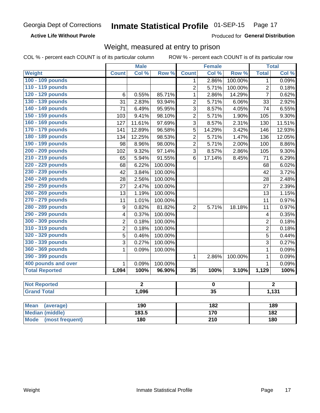**Active Life Without Parole** 

Produced for General Distribution

#### Weight, measured at entry to prison

COL % - percent each COUNT is of its particular column

|                       | <b>Male</b>     |                | <b>Female</b> |                 |                 | <b>Total</b> |                |        |
|-----------------------|-----------------|----------------|---------------|-----------------|-----------------|--------------|----------------|--------|
| <b>Weight</b>         | <b>Count</b>    | Col %          | Row %         | <b>Count</b>    | Col %           | Row %        | <b>Total</b>   | Col %  |
| 100 - 109 pounds      |                 |                |               | 1               | 2.86%           | 100.00%      | 1              | 0.09%  |
| 110 - 119 pounds      |                 |                |               | $\overline{2}$  | 5.71%           | 100.00%      | $\overline{2}$ | 0.18%  |
| 120 - 129 pounds      | $6\phantom{1}6$ | 0.55%          | 85.71%        | $\mathbf{1}$    | 2.86%           | 14.29%       | $\overline{7}$ | 0.62%  |
| 130 - 139 pounds      | 31              | 2.83%          | 93.94%        | $\overline{2}$  | 5.71%           | 6.06%        | 33             | 2.92%  |
| 140 - 149 pounds      | 71              | 6.49%          | 95.95%        | 3               | 8.57%           | 4.05%        | 74             | 6.55%  |
| 150 - 159 pounds      | 103             | 9.41%          | 98.10%        | $\overline{2}$  | 5.71%           | 1.90%        | 105            | 9.30%  |
| 160 - 169 pounds      | 127             | 11.61%         | 97.69%        | $\overline{3}$  | 8.57%           | 2.31%        | 130            | 11.51% |
| 170 - 179 pounds      | 141             | 12.89%         | 96.58%        | 5               | 14.29%          | 3.42%        | 146            | 12.93% |
| 180 - 189 pounds      | 134             | 12.25%         | 98.53%        | $\overline{2}$  | 5.71%           | 1.47%        | 136            | 12.05% |
| 190 - 199 pounds      | 98              | 8.96%          | 98.00%        | $\overline{2}$  | 5.71%           | 2.00%        | 100            | 8.86%  |
| 200 - 209 pounds      | 102             | 9.32%          | 97.14%        | $\overline{3}$  | 8.57%           | 2.86%        | 105            | 9.30%  |
| 210 - 219 pounds      | 65              | 5.94%          | 91.55%        | 6               | 17.14%          | 8.45%        | 71             | 6.29%  |
| 220 - 229 pounds      | 68              | 6.22%          | 100.00%       |                 |                 |              | 68             | 6.02%  |
| 230 - 239 pounds      | 42              | 3.84%          | 100.00%       |                 |                 |              | 42             | 3.72%  |
| 240 - 249 pounds      | 28              | 2.56%          | 100.00%       |                 |                 |              | 28             | 2.48%  |
| 250 - 259 pounds      | 27              | 2.47%          | 100.00%       |                 |                 |              | 27             | 2.39%  |
| 260 - 269 pounds      | 13              | 1.19%          | 100.00%       |                 |                 |              | 13             | 1.15%  |
| 270 - 279 pounds      | 11              | 1.01%          | 100.00%       |                 |                 |              | 11             | 0.97%  |
| 280 - 289 pounds      | 9               | 0.82%          | 81.82%        | $\overline{2}$  | 5.71%           | 18.18%       | 11             | 0.97%  |
| 290 - 299 pounds      | 4               | 0.37%          | 100.00%       |                 |                 |              | 4              | 0.35%  |
| 300 - 309 pounds      | $\overline{2}$  | 0.18%          | 100.00%       |                 |                 |              | $\overline{2}$ | 0.18%  |
| 310 - 319 pounds      | $\overline{2}$  | 0.18%          | 100.00%       |                 |                 |              | $\overline{2}$ | 0.18%  |
| 320 - 329 pounds      | $\overline{5}$  | 0.46%          | 100.00%       |                 |                 |              | 5              | 0.44%  |
| 330 - 339 pounds      | 3               | 0.27%          | 100.00%       |                 |                 |              | 3              | 0.27%  |
| 360 - 369 pounds      | $\mathbf 1$     | 0.09%          | 100.00%       |                 |                 |              | $\mathbf{1}$   | 0.09%  |
| 390 - 399 pounds      |                 |                |               | 1               | 2.86%           | 100.00%      | 1              | 0.09%  |
| 400 pounds and over   | $\mathbf 1$     | 0.09%          | 100.00%       |                 |                 |              | $\mathbf{1}$   | 0.09%  |
| <b>Total Reported</b> | 1,094           | 100%           | 96.90%        | $\overline{35}$ | 100%            | 3.10%        | 1,129          | 100%   |
|                       |                 |                |               |                 |                 |              |                |        |
| <b>Not Reported</b>   |                 | $\overline{2}$ |               | $\pmb{0}$       |                 |              | $\overline{2}$ |        |
| <b>Grand Total</b>    |                 | 1,096          |               |                 | $\overline{35}$ |              |                | 1,131  |

| Mean (average)         | 190   | 182 | 189 |
|------------------------|-------|-----|-----|
| <b>Median (middle)</b> | 183.5 | 170 | 182 |
| Mode (most frequent)   | 180   | 210 | 180 |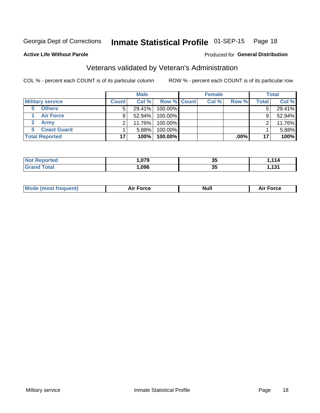#### Inmate Statistical Profile 01-SEP-15 Page 18

#### **Active Life Without Parole**

#### Produced for General Distribution

### Veterans validated by Veteran's Administration

COL % - percent each COUNT is of its particular column

|                         |                       | <b>Male</b>  |           |                    | <b>Female</b> |       |         | <b>Total</b> |        |
|-------------------------|-----------------------|--------------|-----------|--------------------|---------------|-------|---------|--------------|--------|
| <b>Military service</b> |                       | <b>Count</b> | Col %     | <b>Row % Count</b> |               | Col % | Row %   | Total        | Col %  |
|                         | <b>Others</b>         | 5            | 29.41%    | 100.00%            |               |       |         | 5            | 29.41% |
|                         | <b>Air Force</b>      |              | $52.94\%$ | 100.00%            |               |       |         | 9            | 52.94% |
|                         | <b>Army</b>           |              | 11.76%    | 100.00%            |               |       |         | ົ            | 11.76% |
|                         | <b>Coast Guard</b>    |              | 5.88%     | 100.00%            |               |       |         |              | 5.88%  |
|                         | <b>Total Reported</b> |              | 100%      | 100.00%            |               |       | $.00\%$ | 17           | 100%   |

|       | 070  | ^г<br>v. | <b>A</b> 4 |
|-------|------|----------|------------|
| Cotol | .096 | ^г<br>ູບ | 494        |

|  | <b>Mode (most frequent)</b> | <b>Force</b><br>Air F | Null | ∙orce |
|--|-----------------------------|-----------------------|------|-------|
|--|-----------------------------|-----------------------|------|-------|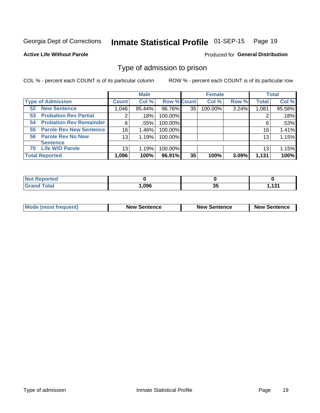#### Inmate Statistical Profile 01-SEP-15 Page 19

**Active Life Without Parole** 

Produced for General Distribution

### Type of admission to prison

COL % - percent each COUNT is of its particular column

|                                      |              | <b>Male</b> |                    |    | <b>Female</b> |       |              | <b>Total</b> |
|--------------------------------------|--------------|-------------|--------------------|----|---------------|-------|--------------|--------------|
| <b>Type of Admission</b>             | <b>Count</b> | Col %       | <b>Row % Count</b> |    | Col %         | Row % | <b>Total</b> | Col %        |
| <b>New Sentence</b><br>52            | 1,046        | 95.44%      | 96.76%             | 35 | 100.00%       | 3.24% | 1,081        | 95.58%       |
| <b>Probation Rev Partial</b><br>53   | 2            | .18%        | 100.00%            |    |               |       |              | .18%         |
| <b>Probation Rev Remainder</b><br>54 | 6            | .55%        | 100.00%            |    |               |       | 6            | .53%         |
| <b>Parole Rev New Sentence</b><br>55 | 16           | 1.46%       | 100.00%            |    |               |       | 16           | 1.41%        |
| 56 Parole Rev No New                 | 13           | 1.19%       | 100.00%            |    |               |       | 13           | 1.15%        |
| <b>Sentence</b>                      |              |             |                    |    |               |       |              |              |
| <b>Life W/O Parole</b><br>70         | 13           | 1.19%       | 100.00%            |    |               |       | 13           | 1.15%        |
| <b>Total Reported</b>                | 1,096        | 100%        | 96.91%             | 35 | 100%          | 3.09% | 1,131        | 100%         |

| Reported<br>NO                  |      |                  |                 |
|---------------------------------|------|------------------|-----------------|
| <b>otal</b><br>$\mathbf{v}$ and | ,096 | - -<br>- 1<br>J, | 121<br>1. I J I |

| <b>Mode (most frequent)</b> | <b>New Sentence</b> | <b>New Sentence</b> | <b>New Sentence</b> |
|-----------------------------|---------------------|---------------------|---------------------|
|                             |                     |                     |                     |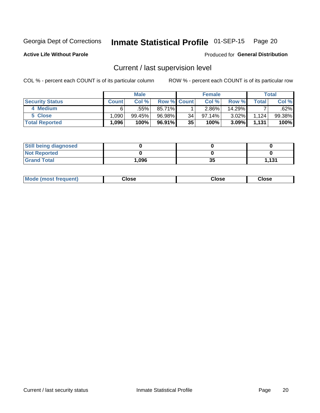## Inmate Statistical Profile 01-SEP-15 Page 20

**Active Life Without Parole** 

Produced for General Distribution

### Current / last supervision level

COL % - percent each COUNT is of its particular column

|                        |                   | <b>Male</b> |                    |    | <b>Female</b> |          |        | Total  |
|------------------------|-------------------|-------------|--------------------|----|---------------|----------|--------|--------|
| <b>Security Status</b> | <b>Count</b>      | Col%        | <b>Row % Count</b> |    | Col %         | Row %    | Total, | Col %  |
| 4 Medium               |                   | $.55\%$     | 85.71%             |    | $2.86\%$      | 14.29%   |        | .62%   |
| 5 Close                | .090              | 99.45%      | 96.98%             | 34 | 97.14%        | $3.02\%$ | 1.124  | 99.38% |
| <b>Total Reported</b>  | .096 <sup>1</sup> | 100%        | 96.91%             | 35 | 100%          | 3.09%    | 1,131  | 100%   |

| <b>Still being diagnosed</b> |      |    |       |
|------------------------------|------|----|-------|
| <b>Not Reported</b>          |      |    |       |
| <b>Grand Total</b>           | ,096 | 35 | l.131 |

| <b>Mode (most frequent)</b> | Close | ∵lose | Close |
|-----------------------------|-------|-------|-------|
|                             |       |       |       |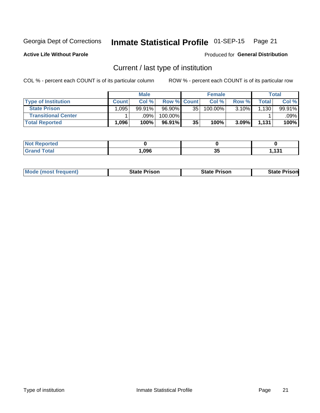## Inmate Statistical Profile 01-SEP-15 Page 21

**Active Life Without Parole** 

Produced for General Distribution

### Current / last type of institution

COL % - percent each COUNT is of its particular column

|                            |              | <b>Male</b> |                    |    | <b>Female</b> |       |       | Total  |
|----------------------------|--------------|-------------|--------------------|----|---------------|-------|-------|--------|
| <b>Type of Institution</b> | <b>Count</b> | Col %       | <b>Row % Count</b> |    | Col %         | Row % | Total | Col %  |
| <b>State Prison</b>        | .095         | 99.91%      | $96.90\%$          | 35 | 100.00%       | 3.10% | 1,130 | 99.91% |
| <b>Transitional Center</b> |              | .09%        | 100.00%            |    |               |       |       | .09% l |
| <b>Total Reported</b>      | .096         | 100%        | 96.91%             | 35 | 100%          | 3.09% | 1.131 | 100%   |

| τeα |      |           |          |
|-----|------|-----------|----------|
|     | ,096 | n r<br>v, | 121<br>. |

|  | <b>Mode (most frequent)</b> | State Prison | <b>State Prison</b> | risonl<br>State |
|--|-----------------------------|--------------|---------------------|-----------------|
|--|-----------------------------|--------------|---------------------|-----------------|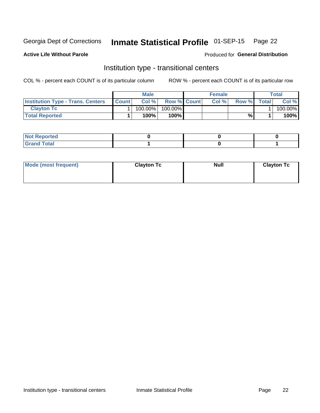## Inmate Statistical Profile 01-SEP-15 Page 22

#### **Active Life Without Parole**

#### Produced for General Distribution

### Institution type - transitional centers

COL % - percent each COUNT is of its particular column

|                                          |              | <b>Male</b> |                    | <b>Female</b> |       |              | <b>Total</b> |
|------------------------------------------|--------------|-------------|--------------------|---------------|-------|--------------|--------------|
| <b>Institution Type - Trans. Centers</b> | <b>Count</b> | Col%        | <b>Row % Count</b> | Col%          | Row % | <b>Total</b> | Col %        |
| <b>Clayton Tc</b>                        |              | 100.00%     | 100.00%            |               |       |              | 100.00%      |
| <b>Total Reported</b>                    |              | $100\%$     | 100%               |               | %     |              | 100%         |

| <b>Not Reported</b>    |  |  |
|------------------------|--|--|
| <b>Total</b><br>re e d |  |  |

| Mode (most frequent) | <b>Clayton Tc</b> | <b>Null</b> | <b>Clayton Tc</b> |
|----------------------|-------------------|-------------|-------------------|
|                      |                   |             |                   |
|                      |                   |             |                   |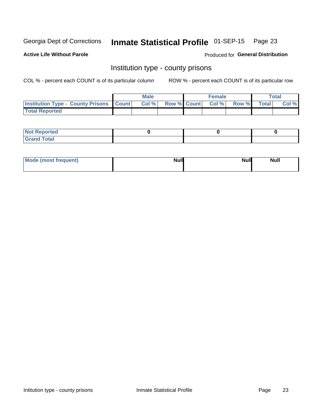## Inmate Statistical Profile 01-SEP-15 Page 23

**Active Life Without Parole** 

Produced for General Distribution

#### Institution type - county prisons

COL % - percent each COUNT is of its particular column

|                                                    | <b>Male</b> |  | <b>Female</b>            |             | <b>Total</b> |
|----------------------------------------------------|-------------|--|--------------------------|-------------|--------------|
| <b>Institution Type - County Prisons   Count  </b> | Col %       |  | <b>Row % Count Col %</b> | Row % Total | Col %        |
| <b>Total Reported</b>                              |             |  |                          |             |              |

| <b>Not Reported</b>   |  |  |
|-----------------------|--|--|
| <b>Total</b><br>Granc |  |  |

| Mode (most frequent) | <b>Null</b> | <b>Null</b><br><b>Null</b> |
|----------------------|-------------|----------------------------|
|                      |             |                            |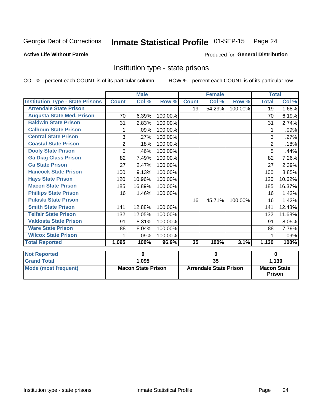#### Inmate Statistical Profile 01-SEP-15 Page 24

#### **Active Life Without Parole**

#### Produced for General Distribution

### Institution type - state prisons

COL % - percent each COUNT is of its particular column

|                                         |                | <b>Male</b>               |         |                 | <b>Female</b>                 |         | <b>Total</b>                        |        |
|-----------------------------------------|----------------|---------------------------|---------|-----------------|-------------------------------|---------|-------------------------------------|--------|
| <b>Institution Type - State Prisons</b> | <b>Count</b>   | Col %                     | Row %   | <b>Count</b>    | Col %                         | Row %   | <b>Total</b>                        | Col %  |
| <b>Arrendale State Prison</b>           |                |                           |         | 19              | 54.29%                        | 100.00% | 19 <sup>1</sup>                     | 1.68%  |
| <b>Augusta State Med. Prison</b>        | 70             | 6.39%                     | 100.00% |                 |                               |         | 70                                  | 6.19%  |
| <b>Baldwin State Prison</b>             | 31             | 2.83%                     | 100.00% |                 |                               |         | 31                                  | 2.74%  |
| <b>Calhoun State Prison</b>             | 1              | .09%                      | 100.00% |                 |                               |         | 1                                   | .09%   |
| <b>Central State Prison</b>             | 3              | .27%                      | 100.00% |                 |                               |         | 3                                   | .27%   |
| <b>Coastal State Prison</b>             | $\overline{2}$ | .18%                      | 100.00% |                 |                               |         | $\overline{2}$                      | .18%   |
| <b>Dooly State Prison</b>               | 5              | .46%                      | 100.00% |                 |                               |         | 5                                   | .44%   |
| <b>Ga Diag Class Prison</b>             | 82             | 7.49%                     | 100.00% |                 |                               |         | 82                                  | 7.26%  |
| <b>Ga State Prison</b>                  | 27             | 2.47%                     | 100.00% |                 |                               |         | 27                                  | 2.39%  |
| <b>Hancock State Prison</b>             | 100            | 9.13%                     | 100.00% |                 |                               |         | 100                                 | 8.85%  |
| <b>Hays State Prison</b>                | 120            | 10.96%                    | 100.00% |                 |                               |         | 120                                 | 10.62% |
| <b>Macon State Prison</b>               | 185            | 16.89%                    | 100.00% |                 |                               |         | 185                                 | 16.37% |
| <b>Phillips State Prison</b>            | 16             | 1.46%                     | 100.00% |                 |                               |         | 16                                  | 1.42%  |
| <b>Pulaski State Prison</b>             |                |                           |         | 16              | 45.71%                        | 100.00% | 16                                  | 1.42%  |
| <b>Smith State Prison</b>               | 141            | 12.88%                    | 100.00% |                 |                               |         | 141                                 | 12.48% |
| <b>Telfair State Prison</b>             | 132            | 12.05%                    | 100.00% |                 |                               |         | 132                                 | 11.68% |
| <b>Valdosta State Prison</b>            | 91             | 8.31%                     | 100.00% |                 |                               |         | 91                                  | 8.05%  |
| <b>Ware State Prison</b>                | 88             | 8.04%                     | 100.00% |                 |                               |         | 88                                  | 7.79%  |
| <b>Wilcox State Prison</b>              | 1              | .09%                      | 100.00% |                 |                               |         | 1                                   | .09%   |
| <b>Total Reported</b>                   | 1,095          | 100%                      | 96.9%   | 35              | 100%                          | 3.1%    | 1,130                               | 100%   |
| <b>Not Reported</b>                     |                | 0                         |         | $\mathbf 0$     |                               |         | $\bf{0}$                            |        |
| <b>Grand Total</b>                      |                | 1,095                     |         | $\overline{35}$ |                               |         | 1,130                               |        |
| <b>Mode (most frequent)</b>             |                | <b>Macon State Prison</b> |         |                 | <b>Arrendale State Prison</b> |         | <b>Macon State</b><br><b>Prison</b> |        |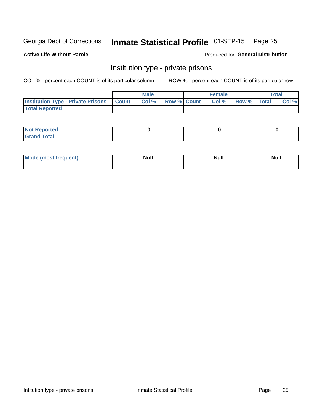## Inmate Statistical Profile 01-SEP-15 Page 25

**Active Life Without Parole** 

Produced for General Distribution

### Institution type - private prisons

COL % - percent each COUNT is of its particular column

|                                                 | <b>Male</b> |                    | <b>Female</b> |             | Total |
|-------------------------------------------------|-------------|--------------------|---------------|-------------|-------|
| <b>Institution Type - Private Prisons Count</b> | Col%        | <b>Row % Count</b> | Col %         | Row % Total | Col % |
| <b>Total Reported</b>                           |             |                    |               |             |       |

| Not Reported          |  |  |
|-----------------------|--|--|
| <b>Cotal</b><br>_____ |  |  |

| <b>Mo</b><br>frequent) | <b>Null</b> | <b>Null</b> | . . I *<br><b>IVUII</b> |
|------------------------|-------------|-------------|-------------------------|
|                        |             |             |                         |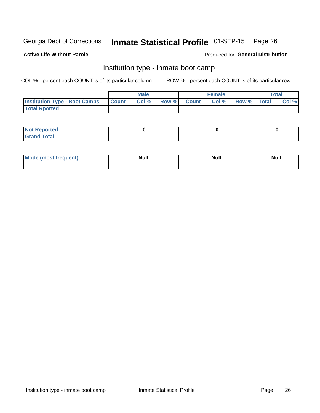## Inmate Statistical Profile 01-SEP-15 Page 26

#### **Active Life Without Parole**

#### Produced for General Distribution

### Institution type - inmate boot camp

COL % - percent each COUNT is of its particular column

|                                      |                  | <b>Male</b> |              |              | <b>Female</b> |             | <b>Total</b> |
|--------------------------------------|------------------|-------------|--------------|--------------|---------------|-------------|--------------|
| <b>Institution Type - Boot Camps</b> | <b>I</b> Count I | Col %       | <b>Row %</b> | <b>Count</b> | Col %         | Row % Total | Col %        |
| <b>Total Rported</b>                 |                  |             |              |              |               |             |              |

| <b>Not Reported</b>            |  |  |
|--------------------------------|--|--|
| <b>Total</b><br>C <sub>r</sub> |  |  |

| <b>AhoM</b><br>st frequent)<br>TIMOS | <b>Null</b> | <b>Null</b> | <b>Null</b> |
|--------------------------------------|-------------|-------------|-------------|
|                                      |             |             |             |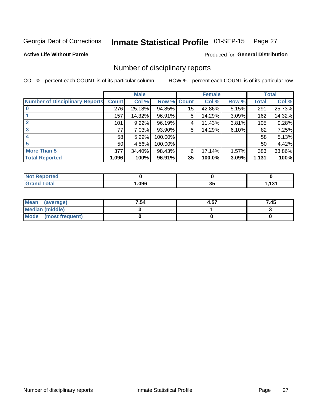#### Inmate Statistical Profile 01-SEP-15 Page 27

**Active Life Without Parole** 

Produced for General Distribution

### Number of disciplinary reports

COL % - percent each COUNT is of its particular column

|                                       |                 | <b>Male</b> |             |    | <b>Female</b> |          |       | <b>Total</b> |
|---------------------------------------|-----------------|-------------|-------------|----|---------------|----------|-------|--------------|
| <b>Number of Disciplinary Reports</b> | <b>Count</b>    | Col %       | Row % Count |    | Col %         | Row %    | Total | Col %        |
|                                       | 276             | 25.18%      | 94.85%      | 15 | 42.86%        | 5.15%    | 291   | 25.73%       |
|                                       | 157             | 14.32%      | 96.91%      | 5  | 14.29%        | 3.09%    | 162   | 14.32%       |
|                                       | 101             | 9.22%       | 96.19%      | 4  | 11.43%        | 3.81%    | 105   | 9.28%        |
| 3                                     | 77              | 7.03%       | 93.90%      | 5  | 14.29%        | $6.10\%$ | 82    | 7.25%        |
|                                       | 58              | 5.29%       | 100.00%     |    |               |          | 58    | 5.13%        |
| 5                                     | 50 <sub>1</sub> | 4.56%       | 100.00%     |    |               |          | 50    | 4.42%        |
| <b>More Than 5</b>                    | 377             | 34.40%      | 98.43%      | 6  | 17.14%        | 1.57%    | 383   | 33.86%       |
| <b>Total Reported</b>                 | 1,096           | 100%        | 96.91%      | 35 | 100.0%        | 3.09%    | 1,131 | 100%         |

| ted.<br>NO |      |    |      |
|------------|------|----|------|
| Гоtal      | .096 | uu | א פי |

| Mean (average)         | 7.54 | 4.57 | 7.45 |
|------------------------|------|------|------|
| <b>Median (middle)</b> |      |      |      |
| Mode (most frequent)   |      |      |      |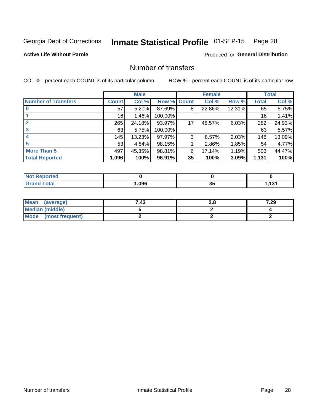## Inmate Statistical Profile 01-SEP-15 Page 28

**Active Life Without Parole** 

**Produced for General Distribution** 

### Number of transfers

COL % - percent each COUNT is of its particular column

|                            |         | <b>Male</b> |         |              | <b>Female</b> |        |              | <b>Total</b> |
|----------------------------|---------|-------------|---------|--------------|---------------|--------|--------------|--------------|
| <b>Number of Transfers</b> | Count l | Col %       | Row %   | <b>Count</b> | Col %         | Row %  | <b>Total</b> | Col %        |
|                            | 57      | 5.20%       | 87.69%  | 8            | 22.86%        | 12.31% | 65           | 5.75%        |
|                            | 16      | 1.46%       | 100.00% |              |               |        | 16           | 1.41%        |
|                            | 265     | 24.18%      | 93.97%  | 17           | 48.57%        | 6.03%  | 282          | 24.93%       |
| 3                          | 63      | 5.75%       | 100.00% |              |               |        | 63           | 5.57%        |
|                            | 145     | 13.23%      | 97.97%  | 3            | 8.57%         | 2.03%  | 148          | 13.09%       |
| 5                          | 53      | 4.84%       | 98.15%  |              | 2.86%         | 1.85%  | 54           | 4.77%        |
| <b>More Than 5</b>         | 497     | 45.35%      | 98.81%  | 6            | 17.14%        | 1.19%  | 503          | 44.47%       |
| <b>Total Reported</b>      | 1,096   | 100%        | 96.91%  | 35           | 100%          | 3.09%  | 1,131        | 100%         |

| <b>orted</b><br>NOT |      |   |       |
|---------------------|------|---|-------|
| <sup>-</sup> otal   | ,096 | ◡ | 1 J I |

| Mean (average)         | 7.43 | Z.U | 7.29 |
|------------------------|------|-----|------|
| <b>Median (middle)</b> |      |     |      |
| Mode (most frequent)   |      |     |      |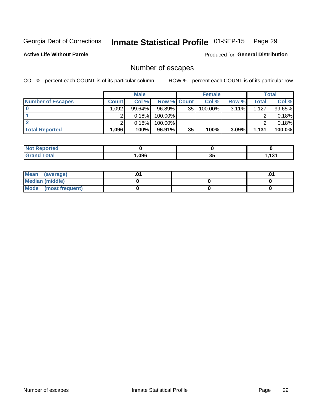## Inmate Statistical Profile 01-SEP-15 Page 29

**Active Life Without Parole** 

**Produced for General Distribution** 

### Number of escapes

COL % - percent each COUNT is of its particular column

|                          |                | <b>Male</b> |                    |    | <b>Female</b> |          |       | <b>Total</b> |
|--------------------------|----------------|-------------|--------------------|----|---------------|----------|-------|--------------|
| <b>Number of Escapes</b> | <b>Count</b>   | Col%        | <b>Row % Count</b> |    | Col %         | Row %    | Total | Col %        |
|                          | .092           | 99.64%      | 96.89%             | 35 | 100.00%       | $3.11\%$ | 1.127 | 99.65%       |
|                          |                | 0.18%       | 100.00%            |    |               |          |       | 0.18%        |
|                          |                | 0.18%       | 100.00%            |    |               |          |       | 0.18%        |
| <b>Total Reported</b>    | $.096^\dagger$ | 100%        | 96.91%             | 35 | 100%          | $3.09\%$ | 1,131 | 100.0%       |

| <b>Not Reported</b> |      |         |              |
|---------------------|------|---------|--------------|
| <b>Grand Total</b>  | .096 | ^'<br>◡ | 124<br>1 J I |

| Mean (average)       |  | י ש |
|----------------------|--|-----|
| Median (middle)      |  |     |
| Mode (most frequent) |  |     |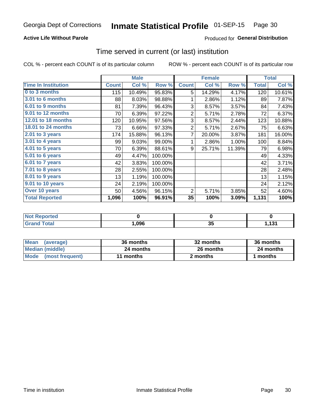#### **Active Life Without Parole**

#### **Produced for General Distribution**

#### Time served in current (or last) institution

COL % - percent each COUNT is of its particular column

|                            |              | <b>Male</b> |         |                | <b>Female</b> |        |              | <b>Total</b> |
|----------------------------|--------------|-------------|---------|----------------|---------------|--------|--------------|--------------|
| <b>Time In Institution</b> | <b>Count</b> | Col %       | Row %   | <b>Count</b>   | Col %         | Row %  | <b>Total</b> | Col %        |
| 0 to 3 months              | 115          | 10.49%      | 95.83%  | 5              | 14.29%        | 4.17%  | 120          | 10.61%       |
| 3.01 to 6 months           | 88           | 8.03%       | 98.88%  | 1              | 2.86%         | 1.12%  | 89           | 7.87%        |
| 6.01 to 9 months           | 81           | 7.39%       | 96.43%  | 3              | 8.57%         | 3.57%  | 84           | 7.43%        |
| 9.01 to 12 months          | 70           | 6.39%       | 97.22%  | $\overline{2}$ | 5.71%         | 2.78%  | 72           | 6.37%        |
| 12.01 to 18 months         | 120          | 10.95%      | 97.56%  | 3              | 8.57%         | 2.44%  | 123          | 10.88%       |
| <b>18.01 to 24 months</b>  | 73           | 6.66%       | 97.33%  | $\overline{2}$ | 5.71%         | 2.67%  | 75           | 6.63%        |
| $2.01$ to 3 years          | 174          | 15.88%      | 96.13%  | 7              | 20.00%        | 3.87%  | 181          | 16.00%       |
| $3.01$ to 4 years          | 99           | 9.03%       | 99.00%  | 1              | 2.86%         | 1.00%  | 100          | 8.84%        |
| 4.01 to 5 years            | 70           | 6.39%       | 88.61%  | 9              | 25.71%        | 11.39% | 79           | 6.98%        |
| 5.01 to 6 years            | 49           | 4.47%       | 100.00% |                |               |        | 49           | 4.33%        |
| 6.01 to 7 years            | 42           | 3.83%       | 100.00% |                |               |        | 42           | 3.71%        |
| 7.01 to 8 years            | 28           | 2.55%       | 100.00% |                |               |        | 28           | 2.48%        |
| 8.01 to 9 years            | 13           | 1.19%       | 100.00% |                |               |        | 13           | 1.15%        |
| 9.01 to 10 years           | 24           | 2.19%       | 100.00% |                |               |        | 24           | 2.12%        |
| Over 10 years              | 50           | 4.56%       | 96.15%  | $\overline{2}$ | 5.71%         | 3.85%  | 52           | 4.60%        |
| <b>Total Reported</b>      | 1,096        | 100%        | 96.91%  | 35             | 100%          | 3.09%  | 1,131        | 100%         |

| <b>Not Reported</b> |      |    |          |
|---------------------|------|----|----------|
| <b>Total</b>        | ,096 | 35 | 121<br>. |

| <b>Mean</b><br>(average) | 36 months | 32 months | 36 months |
|--------------------------|-----------|-----------|-----------|
| Median (middle)          | 24 months | 26 months | 24 months |
| Mode (most frequent)     | 11 months | 2 months  | 1 months  |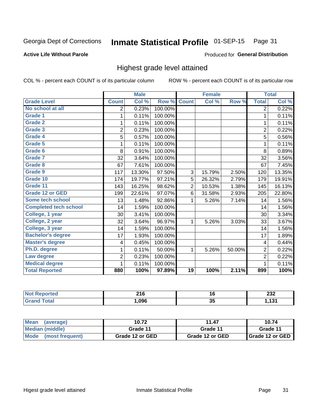#### Inmate Statistical Profile 01-SEP-15 Page 31

#### **Active Life Without Parole**

#### Produced for General Distribution

### Highest grade level attained

COL % - percent each COUNT is of its particular column

|                              |                         | <b>Male</b> |         |                | <b>Female</b> |        |                | <b>Total</b> |
|------------------------------|-------------------------|-------------|---------|----------------|---------------|--------|----------------|--------------|
| <b>Grade Level</b>           | <b>Count</b>            | Col %       | Row %   | <b>Count</b>   | Col %         | Row %  | <b>Total</b>   | Col %        |
| No school at all             | $\overline{2}$          | 0.23%       | 100.00% |                |               |        | $\overline{2}$ | 0.22%        |
| Grade 1                      | 1                       | 0.11%       | 100.00% |                |               |        | 1              | 0.11%        |
| <b>Grade 2</b>               | 1                       | 0.11%       | 100.00% |                |               |        | 1              | 0.11%        |
| Grade 3                      | $\overline{2}$          | 0.23%       | 100.00% |                |               |        | $\overline{2}$ | 0.22%        |
| Grade 4                      | 5                       | 0.57%       | 100.00% |                |               |        | 5              | 0.56%        |
| Grade 5                      | 1                       | 0.11%       | 100.00% |                |               |        | 1              | 0.11%        |
| Grade 6                      | 8                       | 0.91%       | 100.00% |                |               |        | 8              | 0.89%        |
| <b>Grade 7</b>               | 32                      | 3.64%       | 100.00% |                |               |        | 32             | 3.56%        |
| Grade 8                      | 67                      | 7.61%       | 100.00% |                |               |        | 67             | 7.45%        |
| Grade 9                      | 117                     | 13.30%      | 97.50%  | 3              | 15.79%        | 2.50%  | 120            | 13.35%       |
| Grade 10                     | 174                     | 19.77%      | 97.21%  | 5              | 26.32%        | 2.79%  | 179            | 19.91%       |
| Grade 11                     | 143                     | 16.25%      | 98.62%  | $\overline{2}$ | 10.53%        | 1.38%  | 145            | 16.13%       |
| <b>Grade 12 or GED</b>       | 199                     | 22.61%      | 97.07%  | 6              | 31.58%        | 2.93%  | 205            | 22.80%       |
| Some tech school             | 13                      | 1.48%       | 92.86%  | 1              | 5.26%         | 7.14%  | 14             | 1.56%        |
| <b>Completed tech school</b> | 14                      | 1.59%       | 100.00% |                |               |        | 14             | 1.56%        |
| College, 1 year              | 30                      | 3.41%       | 100.00% |                |               |        | 30             | 3.34%        |
| College, 2 year              | 32                      | 3.64%       | 96.97%  | 1              | 5.26%         | 3.03%  | 33             | 3.67%        |
| College, 3 year              | 14                      | 1.59%       | 100.00% |                |               |        | 14             | 1.56%        |
| <b>Bachelor's degree</b>     | 17                      | 1.93%       | 100.00% |                |               |        | 17             | 1.89%        |
| <b>Master's degree</b>       | $\overline{\mathbf{4}}$ | 0.45%       | 100.00% |                |               |        | 4              | 0.44%        |
| Ph.D. degree                 | 1                       | 0.11%       | 50.00%  | 1              | 5.26%         | 50.00% | $\overline{2}$ | 0.22%        |
| Law degree                   | 2                       | 0.23%       | 100.00% |                |               |        | $\overline{2}$ | 0.22%        |
| <b>Medical degree</b>        |                         | 0.11%       | 100.00% |                |               |        | 1              | 0.11%        |
| <b>Total Reported</b>        | 880                     | 100%        | 97.89%  | 19             | 100%          | 2.11%  | 899            | 100%         |

| erren. | <b>94 C</b><br>$-10$<br>$\sim$ $\sim$ | ιv<br>$-$ | ົາາາ<br>ZJZ          |
|--------|---------------------------------------|-----------|----------------------|
| ัวtar  | ,096                                  | <br>◡     | $\overline{42}$<br>. |

| <b>Mean</b><br>(average) | 10.72           | 11.47           | 10.74             |
|--------------------------|-----------------|-----------------|-------------------|
| Median (middle)          | Grade 11        | Grade 11        | Grade 11          |
| Mode<br>(most frequent)  | Grade 12 or GED | Grade 12 or GED | I Grade 12 or GED |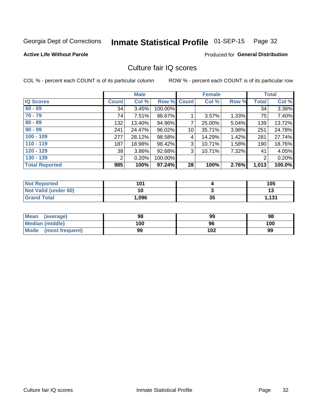#### Inmate Statistical Profile 01-SEP-15 Page 32

#### **Active Life Without Parole**

#### **Produced for General Distribution**

### Culture fair IQ scores

COL % - percent each COUNT is of its particular column

|                       |              | <b>Male</b> |             |    | <b>Female</b> |       |              | <b>Total</b> |
|-----------------------|--------------|-------------|-------------|----|---------------|-------|--------------|--------------|
| <b>IQ Scores</b>      | <b>Count</b> | Col %       | Row % Count |    | Col %         | Row % | <b>Total</b> | Col %        |
| $60 - 69$             | 34           | 3.45%       | 100.00%     |    |               |       | 34           | 3.36%        |
| $70 - 79$             | 74           | 7.51%       | 98.67%      |    | 3.57%         | 1.33% | 75           | 7.40%        |
| $80 - 89$             | 132          | 13.40%      | 94.96%      | 7  | 25.00%        | 5.04% | 139          | 13.72%       |
| $90 - 99$             | 241          | 24.47%      | 96.02%      | 10 | 35.71%        | 3.98% | 251          | 24.78%       |
| $100 - 109$           | 277          | 28.12%      | 98.58%      | 4  | 14.29%        | 1.42% | 281          | 27.74%       |
| $110 - 119$           | 187          | 18.98%      | 98.42%      | 3  | 10.71%        | 1.58% | 190          | 18.76%       |
| $120 - 129$           | 38           | 3.86%       | 92.68%      | 3  | 10.71%        | 7.32% | 41           | 4.05%        |
| $130 - 139$           | 2            | 0.20%       | 100.00%     |    |               |       | 2            | 0.20%        |
| <b>Total Reported</b> | 985          | 100%        | 97.24%      | 28 | 100%          | 2.76% | 1,013        | 100.0%       |

| <b>Not Reported</b>  | 101  |    | 105   |
|----------------------|------|----|-------|
| Not Valid (under 60) | 10   |    |       |
| <b>Grand Total</b>   | .096 | 35 | 1,131 |

| <b>Mean</b><br>(average) | 98  | 99  | 98  |
|--------------------------|-----|-----|-----|
| Median (middle)          | 100 | 96  | 100 |
| Mode (most frequent)     | 99  | 102 | 99  |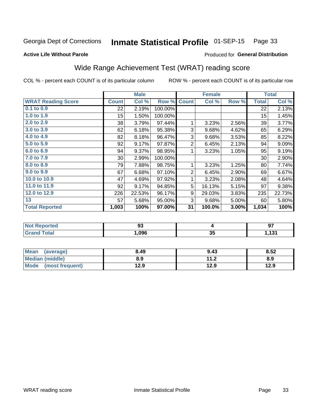#### Inmate Statistical Profile 01-SEP-15 Page 33

#### **Active Life Without Parole**

#### Produced for General Distribution

## Wide Range Achievement Test (WRAT) reading score

COL % - percent each COUNT is of its particular column

|                           |              | <b>Male</b> |         |                | <b>Female</b> |       |              | <b>Total</b> |
|---------------------------|--------------|-------------|---------|----------------|---------------|-------|--------------|--------------|
| <b>WRAT Reading Score</b> | <b>Count</b> | Col %       | Row %   | <b>Count</b>   | Col %         | Row % | <b>Total</b> | Col %        |
| $0.1$ to $0.9$            | 22           | 2.19%       | 100.00% |                |               |       | 22           | 2.13%        |
| 1.0 to 1.9                | 15           | 1.50%       | 100.00% |                |               |       | 15           | 1.45%        |
| 2.0 to 2.9                | 38           | 3.79%       | 97.44%  | 1              | 3.23%         | 2.56% | 39           | 3.77%        |
| 3.0 to 3.9                | 62           | 6.18%       | 95.38%  | 3              | 9.68%         | 4.62% | 65           | 6.29%        |
| 4.0 to 4.9                | 82           | 8.18%       | 96.47%  | 3              | 9.68%         | 3.53% | 85           | 8.22%        |
| 5.0 to 5.9                | 92           | 9.17%       | 97.87%  | $\overline{2}$ | 6.45%         | 2.13% | 94           | 9.09%        |
| 6.0 to 6.9                | 94           | 9.37%       | 98.95%  | 1              | 3.23%         | 1.05% | 95           | 9.19%        |
| 7.0 to 7.9                | $30$         | 2.99%       | 100.00% |                |               |       | 30           | 2.90%        |
| 8.0 to 8.9                | 79           | 7.88%       | 98.75%  | 1              | 3.23%         | 1.25% | 80           | 7.74%        |
| 9.0 to 9.9                | 67           | 6.68%       | 97.10%  | $\overline{2}$ | 6.45%         | 2.90% | 69           | 6.67%        |
| 10.0 to 10.9              | 47           | 4.69%       | 97.92%  | 1              | 3.23%         | 2.08% | 48           | 4.64%        |
| 11.0 to 11.9              | 92           | 9.17%       | 94.85%  | 5              | 16.13%        | 5.15% | 97           | 9.38%        |
| 12.0 to 12.9              | 226          | 22.53%      | 96.17%  | 9              | 29.03%        | 3.83% | 235          | 22.73%       |
| 13                        | 57           | 5.68%       | 95.00%  | 3              | 9.68%         | 5.00% | 60           | 5.80%        |
| <b>Total Reported</b>     | 1,003        | 100%        | 97.00%  | 31             | 100.0%        | 3.00% | 1,034        | 100%         |
|                           |              |             |         |                |               |       |              |              |

| <b>Not Reported</b> | n.<br>◡ |    | $\sim$<br>◡     |
|---------------------|---------|----|-----------------|
| <b>Total</b>        | .096    | יי | $\overline{42}$ |
| Grand               |         | ◡  | I . I J I       |

| Mean (average)       | 8.49 | 9.43 | 8.52 |
|----------------------|------|------|------|
| Median (middle)      | 8.9  | 11.2 | 8.9  |
| Mode (most frequent) | 12.9 | 12.9 | 12.9 |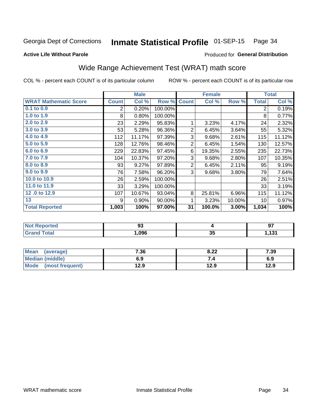#### Inmate Statistical Profile 01-SEP-15 Page 34

Produced for General Distribution

#### **Active Life Without Parole**

## Wide Range Achievement Test (WRAT) math score

COL % - percent each COUNT is of its particular column

|                              |              | <b>Male</b> |         |                | <b>Female</b> |        |              | <b>Total</b> |
|------------------------------|--------------|-------------|---------|----------------|---------------|--------|--------------|--------------|
| <b>WRAT Mathematic Score</b> | <b>Count</b> | Col %       | Row %   | <b>Count</b>   | Col %         | Row %  | <b>Total</b> | Col %        |
| $0.1$ to $0.9$               | 2            | 0.20%       | 100.00% |                |               |        | 2            | 0.19%        |
| 1.0 to 1.9                   | 8            | 0.80%       | 100.00% |                |               |        | 8            | 0.77%        |
| 2.0 to 2.9                   | 23           | 2.29%       | 95.83%  | 1              | 3.23%         | 4.17%  | 24           | 2.32%        |
| 3.0 to 3.9                   | 53           | 5.28%       | 96.36%  | $\overline{2}$ | 6.45%         | 3.64%  | 55           | 5.32%        |
| 4.0 to 4.9                   | 112          | 11.17%      | 97.39%  | 3              | 9.68%         | 2.61%  | 115          | 11.12%       |
| 5.0 to 5.9                   | 128          | 12.76%      | 98.46%  | $\overline{2}$ | 6.45%         | 1.54%  | 130          | 12.57%       |
| 6.0 to 6.9                   | 229          | 22.83%      | 97.45%  | 6              | 19.35%        | 2.55%  | 235          | 22.73%       |
| 7.0 to 7.9                   | 104          | 10.37%      | 97.20%  | 3              | 9.68%         | 2.80%  | 107          | 10.35%       |
| 8.0 to 8.9                   | 93           | 9.27%       | 97.89%  | $\overline{2}$ | 6.45%         | 2.11%  | 95           | 9.19%        |
| 9.0 to 9.9                   | 76           | 7.58%       | 96.20%  | 3              | 9.68%         | 3.80%  | 79           | 7.64%        |
| 10.0 to 10.9                 | 26           | 2.59%       | 100.00% |                |               |        | 26           | 2.51%        |
| 11.0 to 11.9                 | 33           | 3.29%       | 100.00% |                |               |        | 33           | 3.19%        |
| 12.0 to 12.9                 | 107          | 10.67%      | 93.04%  | 8              | 25.81%        | 6.96%  | 115          | 11.12%       |
| 13                           | 9            | 0.90%       | 90.00%  | 1              | 3.23%         | 10.00% | 10           | 0.97%        |
| <b>Total Reported</b>        | 1,003        | 100%        | 97.00%  | 31             | 100.0%        | 3.00%  | 1,034        | 100%         |

| <b>Not Reported</b>    | nα<br>ಀಀ |    | 97             |
|------------------------|----------|----|----------------|
| <b>Total</b><br>'Grand | ,096     | 35 | 121<br>, I J I |

| <b>Mean</b><br>(average) | 7.36 | 8.22 | 7.39 |
|--------------------------|------|------|------|
| Median (middle)          | 6.9  |      | 6.9  |
| Mode (most frequent)     | 12.9 | 12.9 | 12.9 |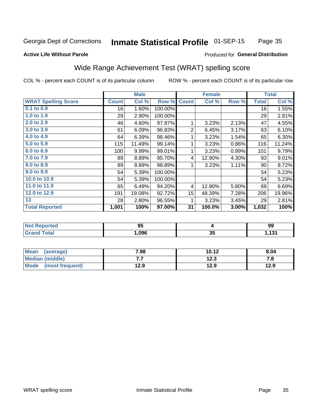#### **Inmate Statistical Profile 01-SEP-15** Page 35

#### **Active Life Without Parole**

#### Produced for General Distribution

### Wide Range Achievement Test (WRAT) spelling score

COL % - percent each COUNT is of its particular column

|                            |              | <b>Male</b> |         |                | <b>Female</b> |       |              | <b>Total</b> |
|----------------------------|--------------|-------------|---------|----------------|---------------|-------|--------------|--------------|
| <b>WRAT Spelling Score</b> | <b>Count</b> | Col %       | Row %   | <b>Count</b>   | Col %         | Row % | <b>Total</b> | Col%         |
| 0.1 to 0.9                 | 16           | 1.60%       | 100.00% |                |               |       | 16           | 1.55%        |
| 1.0 to 1.9                 | 29           | 2.90%       | 100.00% |                |               |       | 29           | 2.81%        |
| 2.0 to 2.9                 | 46           | 4.60%       | 97.87%  | 1              | 3.23%         | 2.13% | 47           | 4.55%        |
| 3.0 to 3.9                 | 61           | 6.09%       | 96.83%  | $\overline{2}$ | 6.45%         | 3.17% | 63           | 6.10%        |
| 4.0 to 4.9                 | 64           | 6.39%       | 98.46%  | 1              | 3.23%         | 1.54% | 65           | 6.30%        |
| 5.0 to 5.9                 | 115          | 11.49%      | 99.14%  | 1              | 3.23%         | 0.86% | 116          | 11.24%       |
| 6.0 to 6.9                 | 100          | 9.99%       | 99.01%  | 1              | 3.23%         | 0.99% | 101          | 9.79%        |
| 7.0 to 7.9                 | 89           | 8.89%       | 95.70%  | 4              | 12.90%        | 4.30% | 93           | 9.01%        |
| 8.0 to 8.9                 | 89           | 8.89%       | 98.89%  | 1              | 3.23%         | 1.11% | 90           | 8.72%        |
| 9.0 to 9.9                 | 54           | 5.39%       | 100.00% |                |               |       | 54           | 5.23%        |
| 10.0 to 10.9               | 54           | 5.39%       | 100.00% |                |               |       | 54           | 5.23%        |
| 11.0 to 11.9               | 65           | 6.49%       | 94.20%  | 4              | 12.90%        | 5.80% | 69           | 6.69%        |
| 12.0 to 12.9               | 191          | 19.08%      | 92.72%  | 15             | 48.39%        | 7.28% | 206          | 19.96%       |
| 13                         | 28           | 2.80%       | 96.55%  | 1              | 3.23%         | 3.45% | 29           | 2.81%        |
| <b>Total Reported</b>      | 1,001        | 100%        | 97.00%  | 31             | 100.0%        | 3.00% | 1,032        | 100%         |
|                            |              |             |         |                |               |       |              |              |

| <b>Not Reported</b> | ሰሪ<br>ນວ |     | 99              |
|---------------------|----------|-----|-----------------|
| <b>Total</b>        | 096,     | יי  | $\overline{42}$ |
| 'Grand              |          | JJ. | I . I .J I      |

| Mean (average)       | 7.98 | 10.12 | 8.04 |
|----------------------|------|-------|------|
| Median (middle)      | .    | 12.3  |      |
| Mode (most frequent) | 12.9 | 12.9  | 12.9 |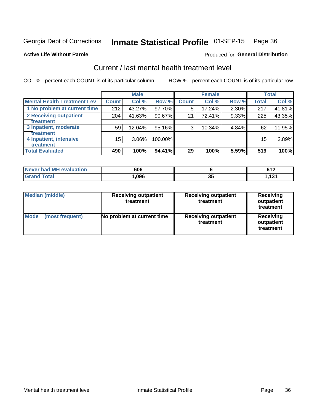## Inmate Statistical Profile 01-SEP-15 Page 36

Produced for General Distribution

#### **Active Life Without Parole**

#### Current / last mental health treatment level

COL % - percent each COUNT is of its particular column

|                                    |                 | <b>Male</b> |         |              | <b>Female</b> |       |              | <b>Total</b> |
|------------------------------------|-----------------|-------------|---------|--------------|---------------|-------|--------------|--------------|
| <b>Mental Health Treatment Lev</b> | <b>Count</b>    | Col %       | Row %   | <b>Count</b> | Col %         | Row % | <b>Total</b> | Col %        |
| 1 No problem at current time       | 212             | 43.27%      | 97.70%  | 5            | 17.24%        | 2.30% | 217          | 41.81%       |
| 2 Receiving outpatient             | 204             | 41.63%      | 90.67%  | 21           | 72.41%        | 9.33% | 225          | 43.35%       |
| <b>Treatment</b>                   |                 |             |         |              |               |       |              |              |
| 3 Inpatient, moderate              | 59              | 12.04%      | 95.16%  | 3            | 10.34%        | 4.84% | 62           | 11.95%       |
| <b>Treatment</b>                   |                 |             |         |              |               |       |              |              |
| 4 Inpatient, intensive             | 15 <sub>1</sub> | 3.06%       | 100.00% |              |               |       | 15           | 2.89%        |
| Treatment                          |                 |             |         |              |               |       |              |              |
| <b>Total Evaluated</b>             | 490             | 100%        | 94.41%  | 29           | 100%          | 5.59% | 519          | 100%         |

| Never had MH evaluation | 606  |           | 0.4 <sup>o</sup><br><b>VIL</b> |
|-------------------------|------|-----------|--------------------------------|
| Total                   | ,096 | י פ<br>vu | 494<br>.                       |

| <b>Median (middle)</b>         | <b>Receiving outpatient</b><br>treatment | <b>Receiving outpatient</b><br>treatment | <b>Receiving</b><br>outpatient<br>treatment |
|--------------------------------|------------------------------------------|------------------------------------------|---------------------------------------------|
| <b>Mode</b><br>(most frequent) | No problem at current time               | <b>Receiving outpatient</b><br>treatment | <b>Receiving</b><br>outpatient<br>treatment |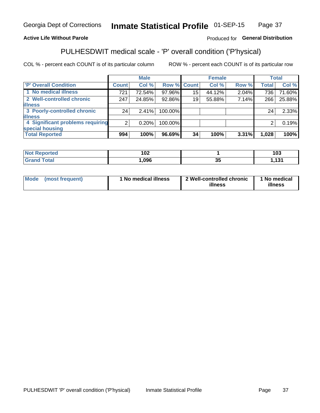#### Inmate Statistical Profile 01-SEP-15 Page 37

#### **Active Life Without Parole**

#### Produced for General Distribution

## PULHESDWIT medical scale - 'P' overall condition ('P'hysical)

COL % - percent each COUNT is of its particular column

|                                  |                | <b>Male</b> |             |    | <b>Female</b> |       |              | <b>Total</b> |
|----------------------------------|----------------|-------------|-------------|----|---------------|-------|--------------|--------------|
| 'P' Overall Condition            | <b>Count</b>   | Col %       | Row % Count |    | Col %         | Row % | <b>Total</b> | Col %        |
| 1 No medical illness             | 721            | 72.54%      | 97.96%      | 15 | 44.12%        | 2.04% | 736          | 71.60%       |
| 2 Well-controlled chronic        | 247            | 24.85%      | 92.86%      | 19 | 55.88%        | 7.14% | 266          | 25.88%       |
| <b>illness</b>                   |                |             |             |    |               |       |              |              |
| 3 Poorly-controlled chronic      | 24             | $2.41\%$    | 100.00%     |    |               |       | 24           | 2.33%        |
| <b>illness</b>                   |                |             |             |    |               |       |              |              |
| 4 Significant problems requiring | 2 <sub>1</sub> | 0.20%       | 100.00%     |    |               |       | 2            | 0.19%        |
| special housing                  |                |             |             |    |               |       |              |              |
| <b>Total Reported</b>            | 994            | 100%        | 96.69%      | 34 | 100%          | 3.31% | 1,028        | 100%         |

| ,<br>1 V 4 |                     | ៱៱៱<br>ט ו |
|------------|---------------------|------------|
| . ററ്റ     | $\sim$ $\sim$<br>v. | 4.04       |

| <b>Mode</b> | (most frequent) | 1 No medical illness | 2 Well-controlled chronic<br>illness | 1 No medical<br>illness |
|-------------|-----------------|----------------------|--------------------------------------|-------------------------|
|-------------|-----------------|----------------------|--------------------------------------|-------------------------|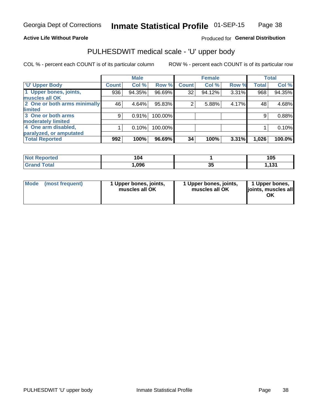#### **Active Life Without Parole**

#### Produced for General Distribution

## PULHESDWIT medical scale - 'U' upper body

COL % - percent each COUNT is of its particular column

|                              |              | <b>Male</b> |         |              | <b>Female</b> |       |              | <b>Total</b> |
|------------------------------|--------------|-------------|---------|--------------|---------------|-------|--------------|--------------|
| <b>U' Upper Body</b>         | <b>Count</b> | Col %       | Row %   | <b>Count</b> | Col %         | Row % | <b>Total</b> | Col %        |
| 1 Upper bones, joints,       | 936          | 94.35%      | 96.69%  | 32           | 94.12%        | 3.31% | 968          | 94.35%       |
| muscles all OK               |              |             |         |              |               |       |              |              |
| 2 One or both arms minimally | 46           | 4.64%       | 95.83%  | 2            | 5.88%         | 4.17% | 48           | 4.68%        |
| limited                      |              |             |         |              |               |       |              |              |
| 3 One or both arms           | 9            | 0.91%       | 100.00% |              |               |       | 9            | 0.88%        |
| <b>moderately limited</b>    |              |             |         |              |               |       |              |              |
| 4 One arm disabled,          |              | 0.10%       | 100.00% |              |               |       |              | 0.10%        |
| paralyzed, or amputated      |              |             |         |              |               |       |              |              |
| <b>Total Reported</b>        | 992          | 100%        | 96.69%  | 34           | 100%          | 3.31% | 1,026        | 100.0%       |

| <b>Not Reported</b> | l V4 |    | 105      |
|---------------------|------|----|----------|
| <b>Grand Total</b>  | ,096 | ა: | 494<br>. |

| <b>Mode</b> | (most frequent) | l Upper bones, joints,<br>muscles all OK | 1 Upper bones, joints,<br>muscles all OK | 1 Upper bones,<br>ljoints, muscles all |
|-------------|-----------------|------------------------------------------|------------------------------------------|----------------------------------------|
|-------------|-----------------|------------------------------------------|------------------------------------------|----------------------------------------|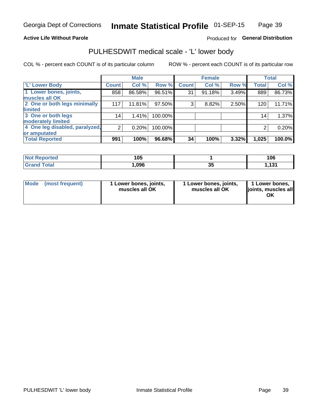#### **Active Life Without Parole**

#### Produced for General Distribution

### PULHESDWIT medical scale - 'L' lower body

COL % - percent each COUNT is of its particular column

|                                |                 | <b>Male</b> |         |              | <b>Female</b> |       |              | <b>Total</b> |
|--------------------------------|-----------------|-------------|---------|--------------|---------------|-------|--------------|--------------|
| 'L' Lower Body                 | <b>Count</b>    | Col %       | Row %   | <b>Count</b> | Col %         | Row % | <b>Total</b> | Col %        |
| 1 Lower bones, joints,         | 858             | 86.58%      | 96.51%  | 31           | 91.18%        | 3.49% | 889          | 86.73%       |
| muscles all OK                 |                 |             |         |              |               |       |              |              |
| 2 One or both legs minimally   | 117             | 11.81%      | 97.50%  | 3            | 8.82%         | 2.50% | 120          | 11.71%       |
| limited                        |                 |             |         |              |               |       |              |              |
| 3 One or both legs             | 14 <sub>1</sub> | 1.41%       | 100.00% |              |               |       | 14           | 1.37%        |
| moderately limited             |                 |             |         |              |               |       |              |              |
| 4 One leg disabled, paralyzed, | $\overline{2}$  | 0.20%       | 100.00% |              |               |       | 2            | 0.20%        |
| or amputated                   |                 |             |         |              |               |       |              |              |
| <b>Total Reported</b>          | 991             | 100%        | 96.68%  | 34           | 100%          | 3.32% | 1,025        | 100.0%       |

| <b>Not Reported</b> | 105  |    | 106          |
|---------------------|------|----|--------------|
| <b>Total</b>        | ,096 | JJ | 121<br>1 J I |

| Mode | (most frequent) | 1 Lower bones, joints,<br>muscles all OK | 1 Lower bones, joints,<br>muscles all OK | 1 Lower bones,<br>ljoints, muscles all<br>OK |
|------|-----------------|------------------------------------------|------------------------------------------|----------------------------------------------|
|------|-----------------|------------------------------------------|------------------------------------------|----------------------------------------------|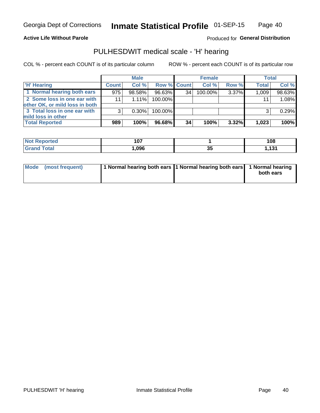#### **Active Life Without Parole**

#### Produced for General Distribution

### PULHESDWIT medical scale - 'H' hearing

COL % - percent each COUNT is of its particular column

|                                                               |              | <b>Male</b> |             |    | <b>Female</b> |       | <b>Total</b> |        |
|---------------------------------------------------------------|--------------|-------------|-------------|----|---------------|-------|--------------|--------|
| <b>H'</b> Hearing                                             | <b>Count</b> | Col %       | Row % Count |    | Col%          | Row % | <b>Total</b> | Col %  |
| 1 Normal hearing both ears                                    | 975          | 98.58%      | 96.63%      | 34 | 100.00%       | 3.37% | 1,009        | 98.63% |
| 2 Some loss in one ear with<br>other OK, or mild loss in both | 11           | $1.11\%$    | 100.00%     |    |               |       | 11           | 1.08%  |
| 3 Total loss in one ear with<br>mild loss in other            | 3            | $0.30\%$    | 100.00%     |    |               |       | 3            | 0.29%  |
| <b>Total Reported</b>                                         | 989          | 100%        | 96.68%      | 34 | 100%          | 3.32% | 1,023        | 100%   |

| Reported<br><b>Not</b> | 107  |    | 108      |
|------------------------|------|----|----------|
| <b>Total</b>           | ,096 | J, | 494<br>. |

| Mode (most frequent) | 1 Normal hearing both ears 1 Normal hearing both ears 1 Normal hearing | both ears |
|----------------------|------------------------------------------------------------------------|-----------|
|                      |                                                                        |           |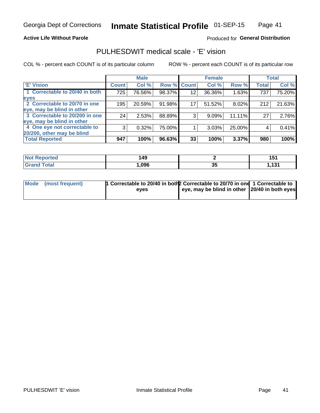#### **Active Life Without Parole**

#### Produced for General Distribution

### PULHESDWIT medical scale - 'E' vision

COL % - percent each COUNT is of its particular column

|                                |              | <b>Male</b> |        |              | <b>Female</b> |        |              | <b>Total</b> |
|--------------------------------|--------------|-------------|--------|--------------|---------------|--------|--------------|--------------|
| <b>E' Vision</b>               | <b>Count</b> | Col %       | Row %  | <b>Count</b> | Col %         | Row %  | <b>Total</b> | Col %        |
| 1 Correctable to 20/40 in both | 725          | 76.56%      | 98.37% | 12           | 36.36%        | 1.63%  | 737          | 75.20%       |
| eyes                           |              |             |        |              |               |        |              |              |
| 2 Correctable to 20/70 in one  | 195          | 20.59%      | 91.98% | 17           | 51.52%        | 8.02%  | 212          | 21.63%       |
| eye, may be blind in other     |              |             |        |              |               |        |              |              |
| 3 Correctable to 20/200 in one | 24           | 2.53%       | 88.89% |              | 9.09%         | 11.11% | 27           | 2.76%        |
| eye, may be blind in other     |              |             |        |              |               |        |              |              |
| 4 One eye not correctable to   | 3            | 0.32%       | 75.00% |              | 3.03%         | 25.00% | 4            | 0.41%        |
| 20/200, other may be blind     |              |             |        |              |               |        |              |              |
| <b>Total Reported</b>          | 947          | 100%        | 96.63% | 33           | 100%          | 3.37%  | 980          | 100%         |

| <b>Not Reported</b><br>$\sim$ | 49   |    | 4 E -<br>w   |
|-------------------------------|------|----|--------------|
| Total                         | ,096 | J. | 4.24<br>,,,, |

| Mode (most frequent) | 1 Correctable to 20/40 in both 2 Correctable to 20/70 in one 1 Correctable to<br>eves | eye, may be blind in other 20/40 in both eyes |  |
|----------------------|---------------------------------------------------------------------------------------|-----------------------------------------------|--|
|                      |                                                                                       |                                               |  |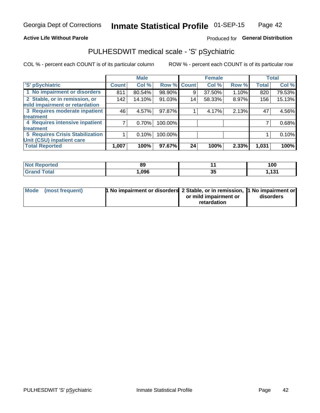#### **Active Life Without Parole**

#### Produced for General Distribution

### PULHESDWIT medical scale - 'S' pSychiatric

COL % - percent each COUNT is of its particular column

|                                        |              | <b>Male</b> |         |             | <b>Female</b> |       |              | <b>Total</b> |
|----------------------------------------|--------------|-------------|---------|-------------|---------------|-------|--------------|--------------|
| 'S' pSychiatric                        | <b>Count</b> | Col %       |         | Row % Count | Col %         | Row % | <b>Total</b> | Col %        |
| 1 No impairment or disorders           | 811          | 80.54%      | 98.90%  | 9           | 37.50%        | 1.10% | 820          | 79.53%       |
| 2 Stable, or in remission, or          | 142          | 14.10%      | 91.03%  | 14          | 58.33%        | 8.97% | 156          | 15.13%       |
| mild impairment or retardation         |              |             |         |             |               |       |              |              |
| 3 Requires moderate inpatient          | 46           | 4.57%       | 97.87%  |             | 4.17%         | 2.13% | 47           | 4.56%        |
| treatment                              |              |             |         |             |               |       |              |              |
| 4 Requires intensive inpatient         |              | 0.70%       | 100.00% |             |               |       |              | 0.68%        |
| treatment                              |              |             |         |             |               |       |              |              |
| <b>5 Requires Crisis Stabilization</b> |              | 0.10%       | 100.00% |             |               |       |              | 0.10%        |
| Unit (CSU) inpatient care              |              |             |         |             |               |       |              |              |
| <b>Total Reported</b>                  | 1,007        | 100%        | 97.67%  | 24          | 100%          | 2.33% | 1,031        | 100%         |

| <b>Not Reported</b> | 89   |    | 100              |
|---------------------|------|----|------------------|
| <b>Grand Total</b>  | ,096 | JJ | 424<br>I . I J I |

| Mode (most frequent) | <b>1 No impairment or disorders</b> 2 Stable, or in remission, 11 No impairment or |                       |           |
|----------------------|------------------------------------------------------------------------------------|-----------------------|-----------|
|                      |                                                                                    | or mild impairment or | disorders |
|                      |                                                                                    | retardation           |           |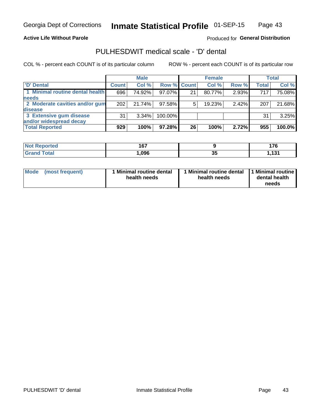**Active Life Without Parole** 

Produced for General Distribution

### PULHESDWIT medical scale - 'D' dental

COL % - percent each COUNT is of its particular column

|                                 |              | <b>Male</b> |                    |    | <b>Female</b> |       |              | <b>Total</b> |
|---------------------------------|--------------|-------------|--------------------|----|---------------|-------|--------------|--------------|
| 'D' Dental                      | <b>Count</b> | Col %       | <b>Row % Count</b> |    | Col %         | Row % | <b>Total</b> | Col %        |
| 1 Minimal routine dental health | 696          | 74.92%      | 97.07%             | 21 | 80.77%        | 2.93% | 717          | 75.08%       |
| <b>needs</b>                    |              |             |                    |    |               |       |              |              |
| 2 Moderate cavities and/or gum  | 202          | 21.74%      | 97.58%             |    | 19.23%        | 2.42% | 207          | 21.68%       |
| disease                         |              |             |                    |    |               |       |              |              |
| 3 Extensive gum disease         | 31           | $3.34\%$    | 100.00%            |    |               |       | 31           | 3.25%        |
| and/or widespread decay         |              |             |                    |    |               |       |              |              |
| <b>Total Reported</b>           | 929          | 100%        | $97.28\%$          | 26 | 100%          | 2.72% | 955          | 100.0%       |

| prτea<br><b>NOT</b><br> | 167  |           | .<br>. . |
|-------------------------|------|-----------|----------|
| <b>Total</b>            | .096 | י ה<br>uu | 494<br>. |

| <b>Mode</b>     | Minimal routine dental | 1 Minimal routine dental 1 Minimal routine | dental health |
|-----------------|------------------------|--------------------------------------------|---------------|
| (most frequent) | health needs           | health needs                               | needs         |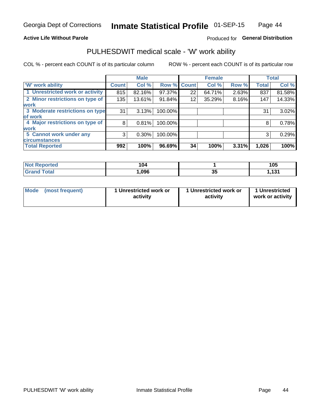#### **Active Life Without Parole**

#### Produced for General Distribution

#### PULHESDWIT medical scale - 'W' work ability

COL % - percent each COUNT is of its particular column

|                                 |              | <b>Male</b> |         |             | <b>Female</b> |       |              | <b>Total</b> |
|---------------------------------|--------------|-------------|---------|-------------|---------------|-------|--------------|--------------|
| <b>W' work ability</b>          | <b>Count</b> | Col %       |         | Row % Count | Col %         | Row % | <b>Total</b> | Col %        |
| 1 Unrestricted work or activity | 815          | 82.16%      | 97.37%  | 22          | 64.71%        | 2.63% | 837          | 81.58%       |
| 2 Minor restrictions on type of | 135          | 13.61%      | 91.84%  | 12          | 35.29%        | 8.16% | 147          | 14.33%       |
| <b>work</b>                     |              |             |         |             |               |       |              |              |
| 3 Moderate restrictions on type | 31           | 3.13%       | 100.00% |             |               |       | 31           | 3.02%        |
| lof work                        |              |             |         |             |               |       |              |              |
| 4 Major restrictions on type of | 8            | 0.81%       | 100.00% |             |               |       | 8            | 0.78%        |
| <b>work</b>                     |              |             |         |             |               |       |              |              |
| 5 Cannot work under any         | 3            | $0.30\%$    | 100.00% |             |               |       | 3            | 0.29%        |
| <b>circumstances</b>            |              |             |         |             |               |       |              |              |
| <b>Total Reported</b>           | 992          | 100%        | 96.69%  | 34          | 100%          | 3.31% | 1,026        | 100%         |

| <b>Not Reported</b> | 104  |           | <b>10F</b><br>ט ו |
|---------------------|------|-----------|-------------------|
| <b>Grand Total</b>  | ,096 | י ה<br>vu | 121<br>1. I J I   |

| <b>Mode</b> | (most frequent) | 1 Unrestricted work or<br>activity | 1 Unrestricted work or<br>activity | 1 Unrestricted<br>work or activity |
|-------------|-----------------|------------------------------------|------------------------------------|------------------------------------|
|-------------|-----------------|------------------------------------|------------------------------------|------------------------------------|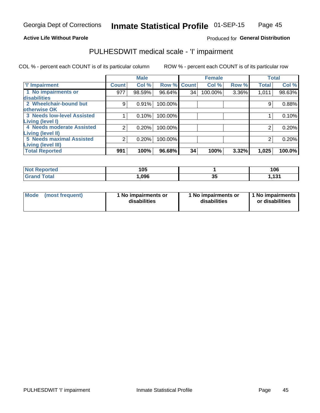#### **Active Life Without Parole**

#### Produced for General Distribution

### PULHESDWIT medical scale - 'I' impairment

COL % - percent each COUNT is of its particular column ROW % - percent each COUNT is of its particular row

|                                   |              | <b>Male</b> |             |    | <b>Female</b> |       |              | <b>Total</b> |
|-----------------------------------|--------------|-------------|-------------|----|---------------|-------|--------------|--------------|
| <b>T' Impairment</b>              | <b>Count</b> | Col %       | Row % Count |    | Col %         | Row % | <b>Total</b> | Col %        |
| 1 No impairments or               | 977          | 98.59%      | 96.64%      | 34 | 100.00%       | 3.36% | 1,011        | 98.63%       |
| <b>disabilities</b>               |              |             |             |    |               |       |              |              |
| 2 Wheelchair-bound but            | 9            | 0.91%       | 100.00%     |    |               |       | 9            | 0.88%        |
| otherwise OK                      |              |             |             |    |               |       |              |              |
| <b>3 Needs low-level Assisted</b> |              | 0.10%       | 100.00%     |    |               |       |              | 0.10%        |
| Living (level I)                  |              |             |             |    |               |       |              |              |
| 4 Needs moderate Assisted         | 2            | 0.20%       | 100.00%     |    |               |       |              | 0.20%        |
| Living (level II)                 |              |             |             |    |               |       |              |              |
| <b>5 Needs maximal Assisted</b>   | 2            | 0.20%       | 100.00%     |    |               |       |              | 0.20%        |
| <b>Living (level III)</b>         |              |             |             |    |               |       |              |              |
| <b>Total Reported</b>             | 991          | 100%        | 96.68%      | 34 | 100%          | 3.32% | 1,025        | 100.0%       |

| <b>orted</b> | 105  |          | 106  |
|--------------|------|----------|------|
| <b>Total</b> | .096 | --<br>JJ | ,131 |

| Mode | (most frequent) | 1 No impairments or<br>disabilities | 1 No impairments or<br>disabilities | 1 No impairments<br>or disabilities |
|------|-----------------|-------------------------------------|-------------------------------------|-------------------------------------|
|------|-----------------|-------------------------------------|-------------------------------------|-------------------------------------|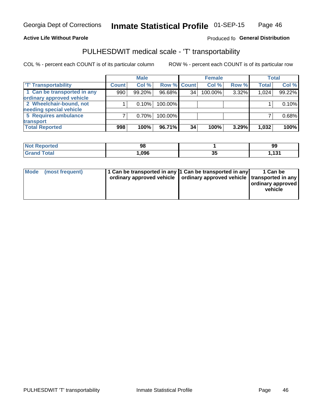#### **Active Life Without Parole**

#### Produced fo General Distribution

### PULHESDWIT medical scale - 'T' transportability

COL % - percent each COUNT is of its particular column

|                             |              | <b>Male</b> |             |    | <b>Female</b> |       |              | <b>Total</b> |
|-----------------------------|--------------|-------------|-------------|----|---------------|-------|--------------|--------------|
| <b>T' Transportability</b>  | <b>Count</b> | Col %       | Row % Count |    | Col %         | Row % | <b>Total</b> | Col %        |
| 1 Can be transported in any | 990          | 99.20%      | 96.68%      | 34 | 100.00%       | 3.32% | 1,024        | 99.22%       |
| ordinary approved vehicle   |              |             |             |    |               |       |              |              |
| 2 Wheelchair-bound, not     |              | 0.10%       | 100.00%     |    |               |       |              | 0.10%        |
| needing special vehicle     |              |             |             |    |               |       |              |              |
| 5 Requires ambulance        |              | 0.70%       | 100.00%     |    |               |       |              | 0.68%        |
| transport                   |              |             |             |    |               |       |              |              |
| <b>Total Reported</b>       | 998          | 100%        | 96.71%      | 34 | 100%          | 3.29% | 1,032        | 100%         |

| orted        | 98   |    | 99          |
|--------------|------|----|-------------|
| <b>cotal</b> | ,096 | vu | 494<br>וטוו |

| Mode | (most frequent) | 1 Can be transported in any 1 Can be transported in any | ordinary approved vehicle   ordinary approved vehicle   transported in any | 1 Can be<br>  ordinary approved<br>vehicle |
|------|-----------------|---------------------------------------------------------|----------------------------------------------------------------------------|--------------------------------------------|
|      |                 |                                                         |                                                                            |                                            |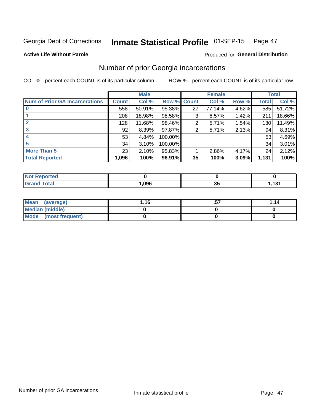#### Inmate Statistical Profile 01-SEP-15 Page 47

#### **Active Life Without Parole**

#### **Produced for General Distribution**

### Number of prior Georgia incarcerations

COL % - percent each COUNT is of its particular column

|                                       |              | <b>Male</b> |         |              | <b>Female</b> |       |       | <b>Total</b> |
|---------------------------------------|--------------|-------------|---------|--------------|---------------|-------|-------|--------------|
| <b>Num of Prior GA Incarcerations</b> | <b>Count</b> | Col %       | Row %   | <b>Count</b> | Col %         | Row % | Total | Col %        |
|                                       | 558          | 50.91%      | 95.38%  | 27           | 77.14%        | 4.62% | 585   | 51.72%       |
|                                       | 208          | 18.98%      | 98.58%  | 3            | 8.57%         | 1.42% | 211   | 18.66%       |
|                                       | 128          | 11.68%      | 98.46%  | 2            | 5.71%         | 1.54% | 130   | 11.49%       |
| 3                                     | 92           | 8.39%       | 97.87%  | 2            | 5.71%         | 2.13% | 94    | 8.31%        |
| 4                                     | 53           | 4.84%       | 100.00% |              |               |       | 53    | 4.69%        |
| 5                                     | 34           | 3.10%       | 100.00% |              |               |       | 34    | 3.01%        |
| <b>More Than 5</b>                    | 23           | 2.10%       | 95.83%  |              | 2.86%         | 4.17% | 24    | 2.12%        |
| <b>Total Reported</b>                 | 1,096        | 100%        | 96.91%  | 35           | 100%          | 3.09% | 1,131 | 100%         |

| orted<br><b>NI</b>              |      |   |     |
|---------------------------------|------|---|-----|
| <b>otal</b><br>$\mathbf{v}$ and | .096 | ູ | 494 |

| Mean (average)         | 1.16 | <br>1.14 |
|------------------------|------|----------|
| <b>Median (middle)</b> |      |          |
| Mode (most frequent)   |      |          |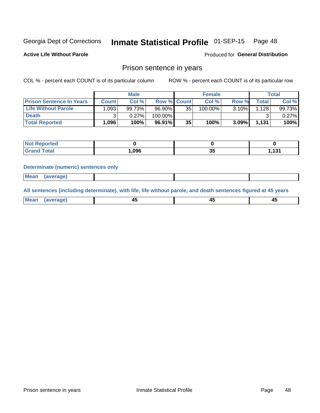#### Inmate Statistical Profile 01-SEP-15 Page 48

**Active Life Without Parole** 

Produced for General Distribution

#### Prison sentence in years

COL % - percent each COUNT is of its particular column

ROW % - percent each COUNT is of its particular row

|                                 |              | <b>Male</b> |                    |    | <b>Female</b> |          |       | Total  |
|---------------------------------|--------------|-------------|--------------------|----|---------------|----------|-------|--------|
| <b>Prison Sentence In Years</b> | <b>Count</b> | Col %       | <b>Row % Count</b> |    | Col %         | Row %    | Total | Col %  |
| <b>Life Without Parole</b>      | .093         | 99.73%      | $96.90\%$          | 35 | 100.00%       | $3.10\%$ | .128  | 99.73% |
| <b>Death</b>                    |              | 0.27%       | 100.00%            |    |               |          |       | 0.27%  |
| <b>Total Reported</b>           | 1,096        | 100%        | $96.91\%$          | 35 | 100%          | $3.09\%$ | 1,131 | 100%   |

| <b>eported</b> |       |           |           |
|----------------|-------|-----------|-----------|
| <b>otal</b>    | 0.096 | <u>Ju</u> | 4.94<br>. |

#### **Determinate (numeric) sentences only**

| 1112211 | <b>Mean</b> | Ane <sup>*</sup> |  |  |
|---------|-------------|------------------|--|--|

All sentences (including determinate), with life, life without parole, and death sentences figured at 45 years

| l Mea<br>'ЯМА<br>.<br> | ᠇<br>$\sim$ | $\sim$ |  |
|------------------------|-------------|--------|--|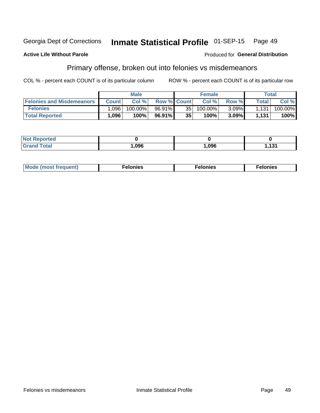#### Inmate Statistical Profile 01-SEP-15 Georgia Dept of Corrections Page 49

#### **Active Life Without Parole**

#### Produced for General Distribution

### Primary offense, broken out into felonies vs misdemeanors

COL % - percent each COUNT is of its particular column

|                                  |              | <b>Male</b> |                    |    | <b>Female</b> |          |              | Total   |
|----------------------------------|--------------|-------------|--------------------|----|---------------|----------|--------------|---------|
| <b>Felonies and Misdemeanors</b> | <b>Count</b> | Col%        | <b>Row % Count</b> |    | Col%          | Row %    | <b>Total</b> | Col %   |
| <b>Felonies</b>                  | .096         | 100.00%     | 96.91%             | 35 | $100.00\%$    | $3.09\%$ | 1.131        | 100.00% |
| <b>Total Reported</b>            | .096         | $100\%$     | 96.91%             | 35 | 100%          | 3.09%    | 1,131        | 100%    |

| <b>Not Reported</b> |      |      |                  |
|---------------------|------|------|------------------|
| <b>Grand Total</b>  | ,096 | ,096 | 424<br>I . I J I |

| <b>Mode</b><br>frequent)<br>nies<br>≧ (most tr.<br>. | onies<br>. | lonies<br>ею<br>____ |
|------------------------------------------------------|------------|----------------------|
|------------------------------------------------------|------------|----------------------|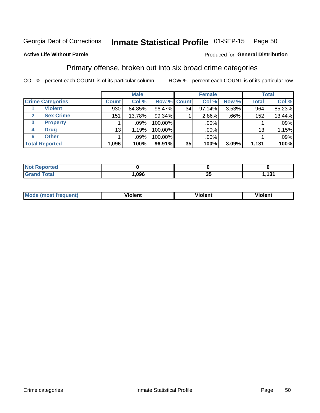#### Inmate Statistical Profile 01-SEP-15 Page 50

#### **Active Life Without Parole**

#### Produced for General Distribution

### Primary offense, broken out into six broad crime categories

COL % - percent each COUNT is of its particular column

|                         |              | <b>Male</b> |           |                    | <b>Female</b> |         |              | <b>Total</b> |
|-------------------------|--------------|-------------|-----------|--------------------|---------------|---------|--------------|--------------|
| <b>Crime Categories</b> | <b>Count</b> | Col %       |           | <b>Row % Count</b> | Col %         | Row %   | <b>Total</b> | Col %        |
| <b>Violent</b>          | 930          | 84.85%      | 96.47%    | 34 <sub>1</sub>    | 97.14%        | 3.53%   | 964          | 85.23%       |
| <b>Sex Crime</b>        | 151          | 13.78%      | $99.34\%$ |                    | 2.86%         | $.66\%$ | 152          | 13.44%       |
| 3<br><b>Property</b>    |              | .09%        | 100.00%   |                    | .00%          |         |              | $.09\%$      |
| <b>Drug</b><br>4        | 13           | 1.19%       | 100.00%   |                    | .00%          |         | 13           | 1.15%        |
| <b>Other</b><br>6       |              | .09%        | 100.00%   |                    | .00%          |         |              | $.09\%$      |
| <b>Total Reported</b>   | 1,096        | 100%        | 96.91%    | 35                 | 100%          | 3.09%   | 1,131        | 100%         |

| <b>Not Reported</b> |      |           |          |
|---------------------|------|-----------|----------|
| <b>Grand Total</b>  | ,096 | ה ה<br>vu | 494<br>. |

| M | <br>. |  |
|---|-------|--|
|   |       |  |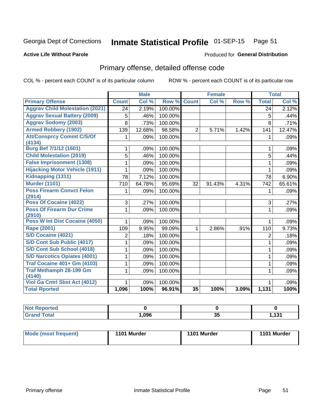## Inmate Statistical Profile 01-SEP-15 Page 51

#### **Active Life Without Parole**

#### Produced for General Distribution

### Primary offense, detailed offense code

COL % - percent each COUNT is of its particular column

|                                            |                 | <b>Male</b> |         | <b>Female</b>   |        |       | <b>Total</b> |        |
|--------------------------------------------|-----------------|-------------|---------|-----------------|--------|-------|--------------|--------|
| <b>Primary Offense</b>                     | <b>Count</b>    | Col %       | Row %   | <b>Count</b>    | Col %  | Row % | <b>Total</b> | Col %  |
| <b>Aggrav Child Molestation (2021)</b>     | 24              | 2.19%       | 100.00% |                 |        |       | 24           | 2.12%  |
| <b>Aggrav Sexual Battery (2009)</b>        | 5               | .46%        | 100.00% |                 |        |       | 5            | .44%   |
| <b>Aggrav Sodomy (2003)</b>                | 8               | .73%        | 100.00% |                 |        |       | 8            | .71%   |
| <b>Armed Robbery (1902)</b>                | 139             | 12.68%      | 98.58%  | $\overline{2}$  | 5.71%  | 1.42% | 141          | 12.47% |
| <b>Att/Consprcy Commt C/S/Of</b>           | 1               | .09%        | 100.00% |                 |        |       | 1            | .09%   |
| (4134)                                     |                 |             |         |                 |        |       |              |        |
| Burg Bef 7/1/12 (1601)                     |                 | .09%        | 100.00% |                 |        |       | 1            | .09%   |
| <b>Child Molestation (2019)</b>            | 5               | .46%        | 100.00% |                 |        |       | 5            | .44%   |
| <b>False Imprisonment (1308)</b>           | 1               | .09%        | 100.00% |                 |        |       | 1            | .09%   |
| <b>Hijacking Motor Vehicle (1911)</b>      | 1               | .09%        | 100.00% |                 |        |       | 1            | .09%   |
| Kidnapping (1311)                          | $\overline{78}$ | 7.12%       | 100.00% |                 |        |       | 78           | 6.90%  |
| <b>Murder (1101)</b>                       | 710             | 64.78%      | 95.69%  | 32              | 91.43% | 4.31% | 742          | 65.61% |
| <b>Poss Firearm Convct Felon</b>           | 1               | .09%        | 100.00% |                 |        |       | 1            | .09%   |
| (2914)                                     |                 |             |         |                 |        |       |              |        |
| Poss Of Cocaine (4022)                     | 3               | .27%        | 100.00% |                 |        |       | 3            | .27%   |
| <b>Poss Of Firearm Dur Crime</b><br>(2910) | 1               | .09%        | 100.00% |                 |        |       | 1            | .09%   |
| Poss W Int Dist Cocaine (4050)             | 1               | .09%        | 100.00% |                 |        |       | 1            | .09%   |
| <b>Rape (2001)</b>                         | 109             | 9.95%       | 99.09%  | 1               | 2.86%  | .91%  | 110          | 9.73%  |
| S/D Cocaine (4021)                         | 2               | .18%        | 100.00% |                 |        |       | 2            | .18%   |
| S/D Cont Sub Public (4017)                 | 1               | .09%        | 100.00% |                 |        |       | 1            | .09%   |
| S/D Cont Sub School (4018)                 | 1               | .09%        | 100.00% |                 |        |       | 1            | .09%   |
| <b>S/D Narcotics Opiates (4001)</b>        | 1               | .09%        | 100.00% |                 |        |       | 1            | .09%   |
| <b>Traf Cocaine 401+ Gm (4103)</b>         | 1               | .09%        | 100.00% |                 |        |       | 1            | .09%   |
| <b>Traf Methamph 28-199 Gm</b><br>(4140)   | 1               | .09%        | 100.00% |                 |        |       | 1            | .09%   |
| Viol Ga Cntrl Sbst Act (4012)              | 1               | .09%        | 100.00% |                 |        |       | 1            | .09%   |
| <b>Total Rported</b>                       | 1,096           | 100%        | 96.91%  | $\overline{35}$ | 100%   | 3.09% | 1,131        | 100%   |

| Reported<br>$\sim$ |      |    |                |
|--------------------|------|----|----------------|
|                    | ,096 | v. | 121<br>, , , , |

| Mode (most frequent) | 1101 Murder | 1101 Murder | 1101 Murder |
|----------------------|-------------|-------------|-------------|
|----------------------|-------------|-------------|-------------|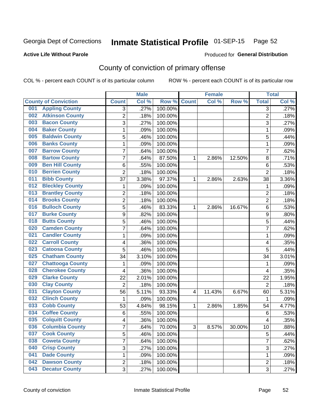## Inmate Statistical Profile 01-SEP-15 Page 52

#### **Active Life Without Parole**

#### Produced for General Distribution

### County of conviction of primary offense

COL % - percent each COUNT is of its particular column

|     |                             |                | <b>Male</b> |         | <b>Female</b> |        |        | <b>Total</b>   |       |
|-----|-----------------------------|----------------|-------------|---------|---------------|--------|--------|----------------|-------|
|     | <b>County of Conviction</b> | <b>Count</b>   | Col %       | Row %   | <b>Count</b>  | Col %  | Row %  | <b>Total</b>   | Col % |
| 001 | <b>Appling County</b>       | 3              | .27%        | 100.00% |               |        |        | $\overline{3}$ | .27%  |
| 002 | <b>Atkinson County</b>      | $\overline{2}$ | .18%        | 100.00% |               |        |        | $\overline{2}$ | .18%  |
| 003 | <b>Bacon County</b>         | $\overline{3}$ | .27%        | 100.00% |               |        |        | 3              | .27%  |
| 004 | <b>Baker County</b>         | 1              | .09%        | 100.00% |               |        |        | 1              | .09%  |
| 005 | <b>Baldwin County</b>       | 5              | .46%        | 100.00% |               |        |        | 5              | .44%  |
| 006 | <b>Banks County</b>         | 1              | .09%        | 100.00% |               |        |        | 1              | .09%  |
| 007 | <b>Barrow County</b>        | $\overline{7}$ | .64%        | 100.00% |               |        |        | $\overline{7}$ | .62%  |
| 008 | <b>Bartow County</b>        | 7              | .64%        | 87.50%  | 1             | 2.86%  | 12.50% | 8              | .71%  |
| 009 | <b>Ben Hill County</b>      | 6              | .55%        | 100.00% |               |        |        | 6              | .53%  |
| 010 | <b>Berrien County</b>       | $\overline{2}$ | .18%        | 100.00% |               |        |        | $\overline{2}$ | .18%  |
| 011 | <b>Bibb County</b>          | 37             | 3.38%       | 97.37%  | 1             | 2.86%  | 2.63%  | 38             | 3.36% |
| 012 | <b>Bleckley County</b>      | 1              | .09%        | 100.00% |               |        |        | 1              | .09%  |
| 013 | <b>Brantley County</b>      | 2              | .18%        | 100.00% |               |        |        | $\overline{2}$ | .18%  |
| 014 | <b>Brooks County</b>        | $\overline{2}$ | .18%        | 100.00% |               |        |        | $\overline{2}$ | .18%  |
| 016 | <b>Bulloch County</b>       | 5              | .46%        | 83.33%  | 1             | 2.86%  | 16.67% | 6              | .53%  |
| 017 | <b>Burke County</b>         | 9              | .82%        | 100.00% |               |        |        | 9              | .80%  |
| 018 | <b>Butts County</b>         | 5              | .46%        | 100.00% |               |        |        | 5              | .44%  |
| 020 | <b>Camden County</b>        | 7              | .64%        | 100.00% |               |        |        | 7              | .62%  |
| 021 | <b>Candler County</b>       | 1              | .09%        | 100.00% |               |        |        | 1              | .09%  |
| 022 | <b>Carroll County</b>       | 4              | .36%        | 100.00% |               |        |        | 4              | .35%  |
| 023 | <b>Catoosa County</b>       | 5              | .46%        | 100.00% |               |        |        | 5              | .44%  |
| 025 | <b>Chatham County</b>       | 34             | 3.10%       | 100.00% |               |        |        | 34             | 3.01% |
| 027 | <b>Chattooga County</b>     | 1              | .09%        | 100.00% |               |        |        | 1              | .09%  |
| 028 | <b>Cherokee County</b>      | 4              | .36%        | 100.00% |               |        |        | 4              | .35%  |
| 029 | <b>Clarke County</b>        | 22             | 2.01%       | 100.00% |               |        |        | 22             | 1.95% |
| 030 | <b>Clay County</b>          | $\overline{2}$ | .18%        | 100.00% |               |        |        | $\overline{2}$ | .18%  |
| 031 | <b>Clayton County</b>       | 56             | 5.11%       | 93.33%  | 4             | 11.43% | 6.67%  | 60             | 5.31% |
| 032 | <b>Clinch County</b>        | 1              | .09%        | 100.00% |               |        |        | 1              | .09%  |
| 033 | <b>Cobb County</b>          | 53             | 4.84%       | 98.15%  | 1             | 2.86%  | 1.85%  | 54             | 4.77% |
| 034 | <b>Coffee County</b>        | $\,6$          | .55%        | 100.00% |               |        |        | 6              | .53%  |
| 035 | <b>Colquitt County</b>      | 4              | .36%        | 100.00% |               |        |        | 4              | .35%  |
| 036 | <b>Columbia County</b>      | 7              | .64%        | 70.00%  | 3             | 8.57%  | 30.00% | 10             | .88%  |
| 037 | <b>Cook County</b>          | 5              | .46%        | 100.00% |               |        |        | 5              | .44%  |
| 038 | <b>Coweta County</b>        | 7              | .64%        | 100.00% |               |        |        | $\overline{7}$ | .62%  |
| 040 | <b>Crisp County</b>         | 3              | .27%        | 100.00% |               |        |        | 3              | .27%  |
| 041 | <b>Dade County</b>          | 1              | .09%        | 100.00% |               |        |        | 1              | .09%  |
| 042 | <b>Dawson County</b>        | 2              | .18%        | 100.00% |               |        |        | $\overline{2}$ | .18%  |
| 043 | <b>Decatur County</b>       | $\overline{3}$ | .27%        | 100.00% |               |        |        | 3              | .27%  |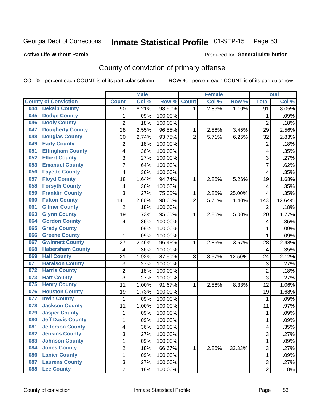## Inmate Statistical Profile 01-SEP-15 Page 53

#### **Active Life Without Parole**

#### Produced for General Distribution

### County of conviction of primary offense

COL % - percent each COUNT is of its particular column

|            |                             |                         | <b>Male</b> |         | <b>Female</b>  |       |        | <b>Total</b>            |         |
|------------|-----------------------------|-------------------------|-------------|---------|----------------|-------|--------|-------------------------|---------|
|            | <b>County of Conviction</b> | <b>Count</b>            | Col %       | Row %   | <b>Count</b>   | Col % | Row %  | <b>Total</b>            | Col %   |
| 044        | <b>Dekalb County</b>        | 90                      | 8.21%       | 98.90%  | 1              | 2.86% | 1.10%  | $\overline{91}$         | 8.05%   |
| 045        | <b>Dodge County</b>         | 1                       | .09%        | 100.00% |                |       |        | 1                       | .09%    |
| 046        | <b>Dooly County</b>         | $\overline{c}$          | .18%        | 100.00% |                |       |        | $\overline{2}$          | .18%    |
| 047        | <b>Dougherty County</b>     | 28                      | 2.55%       | 96.55%  | 1              | 2.86% | 3.45%  | 29                      | 2.56%   |
| 048        | <b>Douglas County</b>       | 30                      | 2.74%       | 93.75%  | $\overline{2}$ | 5.71% | 6.25%  | 32                      | 2.83%   |
| 049        | <b>Early County</b>         | $\overline{2}$          | .18%        | 100.00% |                |       |        | $\overline{2}$          | .18%    |
| 051        | <b>Effingham County</b>     | 4                       | .36%        | 100.00% |                |       |        | 4                       | .35%    |
| 052        | <b>Elbert County</b>        | 3                       | .27%        | 100.00% |                |       |        | $\sqrt{3}$              | .27%    |
| 053        | <b>Emanuel County</b>       | 7                       | .64%        | 100.00% |                |       |        | 7                       | .62%    |
| 056        | <b>Fayette County</b>       | $\overline{\mathbf{4}}$ | .36%        | 100.00% |                |       |        | 4                       | .35%    |
| 057        | <b>Floyd County</b>         | 18                      | 1.64%       | 94.74%  | 1              | 2.86% | 5.26%  | 19                      | 1.68%   |
| 058        | <b>Forsyth County</b>       | 4                       | .36%        | 100.00% |                |       |        | $\overline{\mathbf{4}}$ | .35%    |
| 059        | <b>Franklin County</b>      | 3                       | .27%        | 75.00%  | $\mathbf{1}$   | 2.86% | 25.00% | $\overline{\mathbf{4}}$ | .35%    |
| 060        | <b>Fulton County</b>        | 141                     | 12.86%      | 98.60%  | $\overline{2}$ | 5.71% | 1.40%  | 143                     | 12.64%  |
| 061        | <b>Gilmer County</b>        | $\overline{2}$          | .18%        | 100.00% |                |       |        | $\overline{2}$          | .18%    |
| 063        | <b>Glynn County</b>         | 19                      | 1.73%       | 95.00%  | 1              | 2.86% | 5.00%  | 20                      | 1.77%   |
| 064        | <b>Gordon County</b>        | $\overline{\mathbf{4}}$ | .36%        | 100.00% |                |       |        | $\overline{\mathbf{4}}$ | .35%    |
| 065        | <b>Grady County</b>         | 1                       | .09%        | 100.00% |                |       |        | 1                       | .09%    |
| 066        | <b>Greene County</b>        | 1                       | .09%        | 100.00% |                |       |        | 1                       | .09%    |
| 067        | <b>Gwinnett County</b>      | 27                      | 2.46%       | 96.43%  | 1              | 2.86% | 3.57%  | 28                      | 2.48%   |
| 068        | <b>Habersham County</b>     | $\overline{\mathbf{4}}$ | .36%        | 100.00% |                |       |        | $\overline{\mathbf{4}}$ | .35%    |
| 069        | <b>Hall County</b>          | 21                      | 1.92%       | 87.50%  | 3              | 8.57% | 12.50% | 24                      | 2.12%   |
| 071        | <b>Haralson County</b>      | 3                       | .27%        | 100.00% |                |       |        | 3                       | .27%    |
| 072        | <b>Harris County</b>        | $\overline{2}$          | .18%        | 100.00% |                |       |        | $\overline{2}$          | .18%    |
| 073        | <b>Hart County</b>          | 3                       | .27%        | 100.00% |                |       |        | 3                       | .27%    |
| 075        | <b>Henry County</b>         | 11                      | 1.00%       | 91.67%  | 1              | 2.86% | 8.33%  | 12                      | 1.06%   |
| 076        | <b>Houston County</b>       | 19                      | 1.73%       | 100.00% |                |       |        | 19                      | 1.68%   |
| 077        | <b>Irwin County</b>         | 1                       | .09%        | 100.00% |                |       |        | 1                       | .09%    |
| 078        | <b>Jackson County</b>       | 11                      | 1.00%       | 100.00% |                |       |        | 11                      | .97%    |
| 079        | <b>Jasper County</b>        | 1                       | .09%        | 100.00% |                |       |        | 1                       | .09%    |
| 080        | <b>Jeff Davis County</b>    | 1                       | .09%        | 100.00% |                |       |        | 1                       | .09%    |
| 081        | <b>Jefferson County</b>     | 4                       | .36%        | 100.00% |                |       |        | 4                       | $.35\%$ |
| 082        | <b>Jenkins County</b>       | 3                       | .27%        | 100.00% |                |       |        | $\overline{3}$          | .27%    |
| 083        | <b>Johnson County</b>       | 1                       | .09%        | 100.00% |                |       |        | 1                       | .09%    |
| 084        | <b>Jones County</b>         | 2                       | .18%        | 66.67%  | 1              | 2.86% | 33.33% | $\overline{3}$          | .27%    |
| 086        | <b>Lanier County</b>        | 1                       | .09%        | 100.00% |                |       |        | 1                       | .09%    |
| 087        | <b>Laurens County</b>       | 3                       | .27%        | 100.00% |                |       |        | 3                       | .27%    |
| <b>088</b> | <b>Lee County</b>           | $\overline{2}$          | .18%        | 100.00% |                |       |        | $\overline{2}$          | .18%    |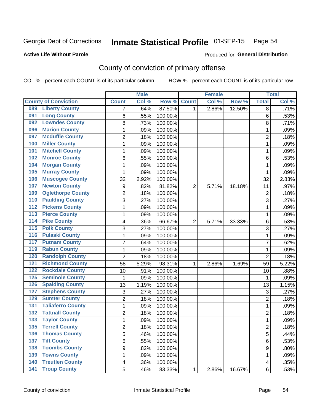## Inmate Statistical Profile 01-SEP-15 Page 54

#### **Active Life Without Parole**

#### Produced for General Distribution

### County of conviction of primary offense

COL % - percent each COUNT is of its particular column

|                  |                             |                | <b>Male</b> |         |                | <b>Female</b> |        |                         | <b>Total</b> |
|------------------|-----------------------------|----------------|-------------|---------|----------------|---------------|--------|-------------------------|--------------|
|                  | <b>County of Conviction</b> | <b>Count</b>   | Col %       | Row %   | <b>Count</b>   | Col %         | Row %  | <b>Total</b>            | Col %        |
| 089              | <b>Liberty County</b>       | 7              | .64%        | 87.50%  | 1              | 2.86%         | 12.50% | 8                       | .71%         |
| 091              | <b>Long County</b>          | 6              | .55%        | 100.00% |                |               |        | 6                       | .53%         |
| 092              | <b>Lowndes County</b>       | 8              | .73%        | 100.00% |                |               |        | 8                       | .71%         |
| 096              | <b>Marion County</b>        | 1              | .09%        | 100.00% |                |               |        | 1                       | .09%         |
| 097              | <b>Mcduffie County</b>      | $\overline{2}$ | .18%        | 100.00% |                |               |        | $\overline{2}$          | .18%         |
| 100              | <b>Miller County</b>        | 1              | .09%        | 100.00% |                |               |        | 1                       | .09%         |
| 101              | <b>Mitchell County</b>      | 1              | .09%        | 100.00% |                |               |        | 1                       | .09%         |
| 102              | <b>Monroe County</b>        | 6              | .55%        | 100.00% |                |               |        | 6                       | .53%         |
| 104              | <b>Morgan County</b>        | 1              | .09%        | 100.00% |                |               |        | 1                       | .09%         |
| 105              | <b>Murray County</b>        | 1              | .09%        | 100.00% |                |               |        | 1                       | .09%         |
| 106              | <b>Muscogee County</b>      | 32             | 2.92%       | 100.00% |                |               |        | 32                      | 2.83%        |
| 107              | <b>Newton County</b>        | 9              | .82%        | 81.82%  | $\overline{2}$ | 5.71%         | 18.18% | 11                      | .97%         |
| 109              | <b>Oglethorpe County</b>    | $\overline{2}$ | .18%        | 100.00% |                |               |        | $\overline{2}$          | .18%         |
| 110              | <b>Paulding County</b>      | 3              | .27%        | 100.00% |                |               |        | 3                       | .27%         |
| $\overline{112}$ | <b>Pickens County</b>       | 1              | .09%        | 100.00% |                |               |        | 1                       | .09%         |
| 113              | <b>Pierce County</b>        | 1              | .09%        | 100.00% |                |               |        | 1                       | .09%         |
| 114              | <b>Pike County</b>          | 4              | .36%        | 66.67%  | $\overline{2}$ | 5.71%         | 33.33% | 6                       | .53%         |
| 115              | <b>Polk County</b>          | 3              | .27%        | 100.00% |                |               |        | 3                       | .27%         |
| 116              | <b>Pulaski County</b>       | 1              | .09%        | 100.00% |                |               |        | 1                       | .09%         |
| 117              | <b>Putnam County</b>        | 7              | .64%        | 100.00% |                |               |        | 7                       | .62%         |
| 119              | <b>Rabun County</b>         | 1              | .09%        | 100.00% |                |               |        | 1                       | .09%         |
| 120              | <b>Randolph County</b>      | $\overline{2}$ | .18%        | 100.00% |                |               |        | $\overline{2}$          | .18%         |
| 121              | <b>Richmond County</b>      | 58             | 5.29%       | 98.31%  | 1              | 2.86%         | 1.69%  | 59                      | 5.22%        |
| 122              | <b>Rockdale County</b>      | 10             | .91%        | 100.00% |                |               |        | 10                      | .88%         |
| 125              | <b>Seminole County</b>      | 1              | .09%        | 100.00% |                |               |        | 1                       | .09%         |
| 126              | <b>Spalding County</b>      | 13             | 1.19%       | 100.00% |                |               |        | 13                      | 1.15%        |
| 127              | <b>Stephens County</b>      | 3              | .27%        | 100.00% |                |               |        | 3                       | .27%         |
| 129              | <b>Sumter County</b>        | $\overline{2}$ | .18%        | 100.00% |                |               |        | $\overline{2}$          | .18%         |
| 131              | <b>Taliaferro County</b>    | 1              | .09%        | 100.00% |                |               |        | $\mathbf{1}$            | .09%         |
| 132              | <b>Tattnall County</b>      | $\overline{c}$ | .18%        | 100.00% |                |               |        | $\overline{c}$          | .18%         |
| 133              | <b>Taylor County</b>        | $\mathbf{1}$   | .09%        | 100.00% |                |               |        | $\mathbf{1}$            | .09%         |
| 135              | <b>Terrell County</b>       | 2              | .18%        | 100.00% |                |               |        | $\overline{\mathbf{c}}$ | .18%         |
| 136              | <b>Thomas County</b>        | 5              | .46%        | 100.00% |                |               |        | $\overline{5}$          | .44%         |
| $\overline{137}$ | <b>Tift County</b>          | 6              | .55%        | 100.00% |                |               |        | 6                       | .53%         |
| 138              | <b>Toombs County</b>        | 9              | .82%        | 100.00% |                |               |        | 9                       | .80%         |
| 139              | <b>Towns County</b>         | 1              | .09%        | 100.00% |                |               |        | 1                       | .09%         |
| 140              | <b>Treutlen County</b>      | 4              | .36%        | 100.00% |                |               |        | 4                       | .35%         |
| $\overline{141}$ | <b>Troup County</b>         | $\overline{5}$ | .46%        | 83.33%  | 1              | 2.86%         | 16.67% | 6                       | .53%         |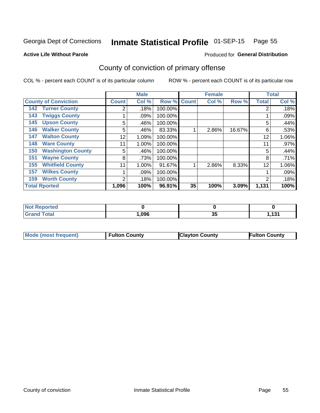#### Inmate Statistical Profile 01-SEP-15 Page 55

#### **Active Life Without Parole**

#### Produced for General Distribution

### County of conviction of primary offense

COL % - percent each COUNT is of its particular column

|                                 | <b>Male</b>  |          |         |              | <b>Female</b> |        |              | <b>Total</b> |  |
|---------------------------------|--------------|----------|---------|--------------|---------------|--------|--------------|--------------|--|
| <b>County of Conviction</b>     | <b>Count</b> | Col %    | Row %   | <b>Count</b> | Col %         | Row %  | <b>Total</b> | Col %        |  |
| <b>Turner County</b><br>142     | 2            | .18%     | 100.00% |              |               |        | 2            | .18%         |  |
| <b>Twiggs County</b><br>143     |              | .09%     | 100.00% |              |               |        |              | .09%         |  |
| <b>Upson County</b><br>145      | 5            | .46%     | 100.00% |              |               |        | 5            | .44%         |  |
| <b>Walker County</b><br>146     | 5            | .46%     | 83.33%  |              | 2.86%         | 16.67% | 6            | .53%         |  |
| <b>Walton County</b><br>147     | 12           | 1.09%    | 100.00% |              |               |        | 12           | 1.06%        |  |
| <b>Ware County</b><br>148       | 11           | 1.00%    | 100.00% |              |               |        | 11           | .97%         |  |
| <b>Washington County</b><br>150 | 5            | .46%     | 100.00% |              |               |        | 5            | .44%         |  |
| <b>Wayne County</b><br>151      | 8            | .73%     | 100.00% |              |               |        | 8            | .71%         |  |
| <b>Whitfield County</b><br>155  | 11           | $1.00\%$ | 91.67%  |              | 2.86%         | 8.33%  | 12           | 1.06%        |  |
| <b>Wilkes County</b><br>157     |              | .09%     | 100.00% |              |               |        |              | .09%         |  |
| <b>Worth County</b><br>159      | 2            | .18%     | 100.00% |              |               |        | 2            | .18%         |  |
| <b>Total Rported</b>            | 1,096        | 100%     | 96.91%  | 35           | 100%          | 3.09%  | 1,131        | 100%         |  |

| 'ted<br>N |      |           |                 |
|-----------|------|-----------|-----------------|
| 'ota.     | .096 | י ה<br>৩৩ | 121<br>1. I J I |

| Mode (most frequent)<br><b>Clayton County</b><br><b>Fulton County</b><br><b>Fulton County</b> |  |
|-----------------------------------------------------------------------------------------------|--|
|-----------------------------------------------------------------------------------------------|--|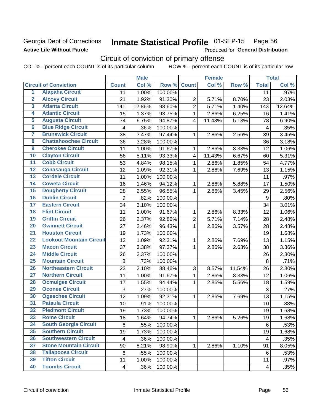#### Georgia Dept of Corrections **Active Life Without Parole**

## Inmate Statistical Profile 01-SEP-15 Page 56

Produced for General Distribution

## Circuit of conviction of primary offense

COL % - percent each COUNT is of its particular column ROW % - percent each COUNT is of its particular row

|                         |                                 |                          | <b>Male</b> |         |                | <b>Female</b> |        |                  | <b>Total</b> |
|-------------------------|---------------------------------|--------------------------|-------------|---------|----------------|---------------|--------|------------------|--------------|
|                         | <b>Circuit of Conviction</b>    | <b>Count</b>             | Col %       | Row %   | <b>Count</b>   | Col %         | Row %  | <b>Total</b>     | Col %        |
| 1                       | <b>Alapaha Circuit</b>          | 11                       | 1.00%       | 100.00% |                |               |        | 11               | $.97\%$      |
| $\overline{2}$          | <b>Alcovy Circuit</b>           | 21                       | 1.92%       | 91.30%  | $\overline{2}$ | 5.71%         | 8.70%  | 23               | 2.03%        |
| $\overline{\mathbf{3}}$ | <b>Atlanta Circuit</b>          | 141                      | 12.86%      | 98.60%  | $\overline{2}$ | 5.71%         | 1.40%  | 143              | 12.64%       |
| 4                       | <b>Atlantic Circuit</b>         | 15                       | 1.37%       | 93.75%  | 1              | 2.86%         | 6.25%  | 16               | 1.41%        |
| $\overline{5}$          | <b>Augusta Circuit</b>          | 74                       | 6.75%       | 94.87%  | 4              | 11.43%        | 5.13%  | 78               | 6.90%        |
| $\overline{\bf{6}}$     | <b>Blue Ridge Circuit</b>       | 4                        | .36%        | 100.00% |                |               |        | 4                | .35%         |
| 7                       | <b>Brunswick Circuit</b>        | 38                       | 3.47%       | 97.44%  | 1              | 2.86%         | 2.56%  | 39               | 3.45%        |
| $\overline{\mathbf{8}}$ | <b>Chattahoochee Circuit</b>    | 36                       | 3.28%       | 100.00% |                |               |        | 36               | 3.18%        |
| $\overline{9}$          | <b>Cherokee Circuit</b>         | 11                       | 1.00%       | 91.67%  | 1              | 2.86%         | 8.33%  | 12               | 1.06%        |
| 10                      | <b>Clayton Circuit</b>          | 56                       | 5.11%       | 93.33%  | 4              | 11.43%        | 6.67%  | 60               | 5.31%        |
| $\overline{11}$         | <b>Cobb Circuit</b>             | 53                       | 4.84%       | 98.15%  | $\mathbf{1}$   | 2.86%         | 1.85%  | 54               | 4.77%        |
| $\overline{12}$         | <b>Conasauga Circuit</b>        | 12                       | 1.09%       | 92.31%  | 1              | 2.86%         | 7.69%  | 13               | 1.15%        |
| 13                      | <b>Cordele Circuit</b>          | 11                       | 1.00%       | 100.00% |                |               |        | 11               | .97%         |
| 14                      | <b>Coweta Circuit</b>           | 16                       | 1.46%       | 94.12%  | 1              | 2.86%         | 5.88%  | 17               | 1.50%        |
| $\overline{15}$         | <b>Dougherty Circuit</b>        | 28                       | 2.55%       | 96.55%  | 1              | 2.86%         | 3.45%  | 29               | 2.56%        |
| 16                      | <b>Dublin Circuit</b>           | 9                        | .82%        | 100.00% |                |               |        | $\boldsymbol{9}$ | .80%         |
| 17                      | <b>Eastern Circuit</b>          | 34                       | 3.10%       | 100.00% |                |               |        | 34               | 3.01%        |
| $\overline{18}$         | <b>Flint Circuit</b>            | 11                       | 1.00%       | 91.67%  | 1              | 2.86%         | 8.33%  | 12               | 1.06%        |
| 19                      | <b>Griffin Circuit</b>          | 26                       | 2.37%       | 92.86%  | $\overline{2}$ | 5.71%         | 7.14%  | 28               | 2.48%        |
| $\overline{20}$         | <b>Gwinnett Circuit</b>         | 27                       | 2.46%       | 96.43%  | 1              | 2.86%         | 3.57%  | 28               | 2.48%        |
| $\overline{21}$         | <b>Houston Circuit</b>          | 19                       | 1.73%       | 100.00% |                |               |        | 19               | 1.68%        |
| $\overline{22}$         | <b>Lookout Mountain Circuit</b> | 12                       | 1.09%       | 92.31%  | 1              | 2.86%         | 7.69%  | 13               | 1.15%        |
| 23                      | <b>Macon Circuit</b>            | 37                       | 3.38%       | 97.37%  | 1              | 2.86%         | 2.63%  | 38               | 3.36%        |
| $\overline{24}$         | <b>Middle Circuit</b>           | 26                       | 2.37%       | 100.00% |                |               |        | 26               | 2.30%        |
| $\overline{25}$         | <b>Mountain Circuit</b>         | 8                        | .73%        | 100.00% |                |               |        | $\,8\,$          | .71%         |
| 26                      | <b>Northeastern Circuit</b>     | 23                       | 2.10%       | 88.46%  | 3              | 8.57%         | 11.54% | 26               | 2.30%        |
| $\overline{27}$         | <b>Northern Circuit</b>         | 11                       | 1.00%       | 91.67%  | 1              | 2.86%         | 8.33%  | 12               | 1.06%        |
| 28                      | <b>Ocmulgee Circuit</b>         | 17                       | 1.55%       | 94.44%  | 1              | 2.86%         | 5.56%  | 18               | 1.59%        |
| 29                      | <b>Oconee Circuit</b>           | 3                        | .27%        | 100.00% |                |               |        | 3                | .27%         |
| 30                      | <b>Ogeechee Circuit</b>         | 12                       | 1.09%       | 92.31%  | 1              | 2.86%         | 7.69%  | 13               | 1.15%        |
| $\overline{31}$         | <b>Pataula Circuit</b>          | 10                       | .91%        | 100.00% |                |               |        | 10               | .88%         |
| 32                      | <b>Piedmont Circuit</b>         | 19                       | 1.73%       | 100.00% |                |               |        | 19               | 1.68%        |
| 33                      | <b>Rome Circuit</b>             | 18                       | 1.64%       | 94.74%  | $\mathbf{1}$   | 2.86%         | 5.26%  | 19               | 1.68%        |
| 34                      | <b>South Georgia Circuit</b>    | 6                        | .55%        | 100.00% |                |               |        | 6                | .53%         |
| 35                      | <b>Southern Circuit</b>         | 19                       | 1.73%       | 100.00% |                |               |        | 19               | 1.68%        |
| 36                      | <b>Southwestern Circuit</b>     | $\overline{\mathbf{4}}$  | .36%        | 100.00% |                |               |        | 4                | .35%         |
| 37                      | <b>Stone Mountain Circuit</b>   | 90                       | 8.21%       | 98.90%  | 1              | 2.86%         | 1.10%  | 91               | 8.05%        |
| 38                      | <b>Tallapoosa Circuit</b>       | 6                        | .55%        | 100.00% |                |               |        | 6                | .53%         |
| 39                      | <b>Tifton Circuit</b>           | 11                       | 1.00%       | 100.00% |                |               |        | 11               | $.97\%$      |
| 40                      | <b>Toombs Circuit</b>           | $\overline{\mathcal{A}}$ | .36%        | 100.00% |                |               |        | 4                | .35%         |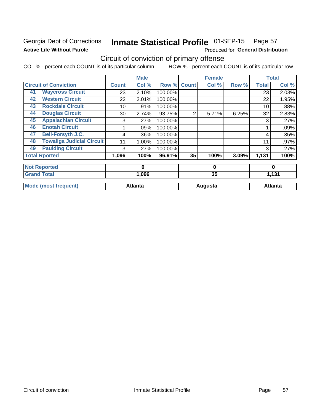#### Georgia Dept of Corrections **Active Life Without Parole**

#### Inmate Statistical Profile 01-SEP-15 Page 57

Produced for General Distribution

### Circuit of conviction of primary offense

COL % - percent each COUNT is of its particular column ROW % - percent each COUNT is of its particular row

|    |                                  |              | <b>Male</b>    |         |                | <b>Female</b> |       |                | <b>Total</b> |  |
|----|----------------------------------|--------------|----------------|---------|----------------|---------------|-------|----------------|--------------|--|
|    | <b>Circuit of Conviction</b>     | <b>Count</b> | Col %          | Row %   | <b>Count</b>   | Col %         | Row % | <b>Total</b>   | Col %        |  |
| 41 | <b>Waycross Circuit</b>          | 23           | 2.10%          | 100.00% |                |               |       | 23             | 2.03%        |  |
| 42 | <b>Western Circuit</b>           | 22           | 2.01%          | 100.00% |                |               |       | 22             | 1.95%        |  |
| 43 | <b>Rockdale Circuit</b>          | 10           | .91%           | 100.00% |                |               |       | 10             | .88%         |  |
| 44 | <b>Douglas Circuit</b>           | 30           | 2.74%          | 93.75%  | $\overline{2}$ | 5.71%         | 6.25% | 32             | 2.83%        |  |
| 45 | <b>Appalachian Circuit</b>       | 3            | .27%           | 100.00% |                |               |       | 3              | .27%         |  |
| 46 | <b>Enotah Circuit</b>            |              | .09%           | 100.00% |                |               |       |                | .09%         |  |
| 47 | <b>Bell-Forsyth J.C.</b>         | 4            | .36%           | 100.00% |                |               |       | 4              | .35%         |  |
| 48 | <b>Towaliga Judicial Circuit</b> | 11           | 1.00%          | 100.00% |                |               |       | 11             | .97%         |  |
| 49 | <b>Paulding Circuit</b>          | 3            | .27%           | 100.00% |                |               |       | 3              | .27%         |  |
|    | <b>Total Rported</b>             | 1,096        | 100%           | 96.91%  | 35             | 100%          | 3.09% | 1,131          | 100%         |  |
|    | <b>Not Reported</b>              |              | $\bf{0}$       |         |                | $\bf{0}$      |       |                | $\bf{0}$     |  |
|    | <b>Grand Total</b>               | 1,096        |                |         |                | 35            |       |                | 1,131        |  |
|    | <b>Mode (most frequent)</b>      |              | <b>Atlanta</b> |         | Augusta        |               |       | <b>Atlanta</b> |              |  |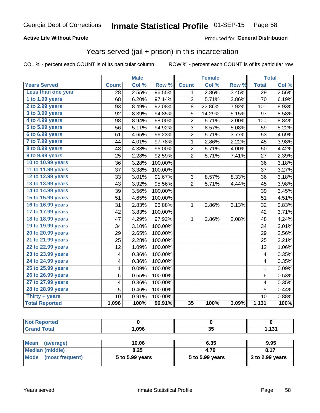#### **Active Life Without Parole**

#### Produced for General Distribution

### Years served (jail + prison) in this incarceration

COL % - percent each COUNT is of its particular column

|                       |              | <b>Male</b> |                  |                 | <b>Female</b> |       |                 | <b>Total</b> |
|-----------------------|--------------|-------------|------------------|-----------------|---------------|-------|-----------------|--------------|
| <b>Years Served</b>   | <b>Count</b> | Col %       | Row <sup>%</sup> | <b>Count</b>    | Col %         | Row % | <b>Total</b>    | Col %        |
| Less than one year    | 28           | 2.55%       | 96.55%           | 1               | 2.86%         | 3.45% | $\overline{29}$ | 2.56%        |
| 1 to 1.99 years       | 68           | 6.20%       | 97.14%           | $\overline{2}$  | 5.71%         | 2.86% | 70              | 6.19%        |
| 2 to 2.99 years       | 93           | 8.49%       | 92.08%           | 8               | 22.86%        | 7.92% | 101             | 8.93%        |
| 3 to 3.99 years       | 92           | 8.39%       | 94.85%           | 5               | 14.29%        | 5.15% | 97              | 8.58%        |
| 4 to 4.99 years       | 98           | 8.94%       | 98.00%           | $\overline{c}$  | 5.71%         | 2.00% | 100             | 8.84%        |
| 5 to 5.99 years       | 56           | 5.11%       | 94.92%           | 3               | 8.57%         | 5.08% | 59              | 5.22%        |
| 6 to 6.99 years       | 51           | 4.65%       | $96.23\%$        | $\overline{2}$  | 5.71%         | 3.77% | 53              | 4.69%        |
| 7 to 7.99 years       | 44           | 4.01%       | 97.78%           | 1               | 2.86%         | 2.22% | 45              | 3.98%        |
| 8 to 8.99 years       | 48           | 4.38%       | 96.00%           | $\overline{2}$  | 5.71%         | 4.00% | 50              | 4.42%        |
| 9 to 9.99 years       | 25           | 2.28%       | 92.59%           | 2               | 5.71%         | 7.41% | 27              | 2.39%        |
| 10 to 10.99 years     | 36           | 3.28%       | 100.00%          |                 |               |       | 36              | 3.18%        |
| 11 to 11.99 years     | 37           | 3.38%       | 100.00%          |                 |               |       | 37              | 3.27%        |
| 12 to 12.99 years     | 33           | 3.01%       | 91.67%           | 3               | 8.57%         | 8.33% | 36              | 3.18%        |
| 13 to 13.99 years     | 43           | 3.92%       | 95.56%           | $\overline{2}$  | 5.71%         | 4.44% | 45              | 3.98%        |
| 14 to 14.99 years     | 39           | 3.56%       | 100.00%          |                 |               |       | 39              | 3.45%        |
| 15 to 15.99 years     | 51           | 4.65%       | 100.00%          |                 |               |       | 51              | 4.51%        |
| 16 to 16.99 years     | 31           | 2.83%       | 96.88%           | 1               | 2.86%         | 3.13% | 32              | 2.83%        |
| 17 to 17.99 years     | 42           | 3.83%       | 100.00%          |                 |               |       | 42              | 3.71%        |
| 18 to 18.99 years     | 47           | 4.29%       | 97.92%           | 1               | 2.86%         | 2.08% | 48              | 4.24%        |
| 19 to 19.99 years     | 34           | 3.10%       | 100.00%          |                 |               |       | 34              | 3.01%        |
| 20 to 20.99 years     | 29           | 2.65%       | 100.00%          |                 |               |       | 29              | 2.56%        |
| 21 to 21.99 years     | 25           | 2.28%       | 100.00%          |                 |               |       | 25              | 2.21%        |
| 22 to 22.99 years     | 12           | 1.09%       | 100.00%          |                 |               |       | 12              | 1.06%        |
| 23 to 23.99 years     | 4            | 0.36%       | 100.00%          |                 |               |       | 4               | 0.35%        |
| 24 to 24.99 years     | 4            | 0.36%       | 100.00%          |                 |               |       | 4               | 0.35%        |
| 25 to 25.99 years     | $\mathbf 1$  | 0.09%       | 100.00%          |                 |               |       | $\mathbf 1$     | 0.09%        |
| 26 to 26.99 years     | 6            | 0.55%       | 100.00%          |                 |               |       | 6               | 0.53%        |
| 27 to 27.99 years     | 4            | 0.36%       | 100.00%          |                 |               |       | 4               | 0.35%        |
| 28 to 28.99 years     | 5            | 0.46%       | 100.00%          |                 |               |       | 5               | 0.44%        |
| Thirty + years        | 10           | 0.91%       | 100.00%          |                 |               |       | 10              | 0.88%        |
| <b>Total Reported</b> | 1,096        | 100%        | 96.91%           | $\overline{35}$ | 100%          | 3.09% | 1,131           | 100%         |

| <b>Not Reported</b>            |                 |                 |                 |
|--------------------------------|-----------------|-----------------|-----------------|
| <b>Grand Total</b>             | 1,096           | 35              | 1,131           |
|                                |                 |                 |                 |
| <b>Mean</b><br>(average)       | 10.06           | 6.35            | 9.95            |
| <b>Median (middle)</b>         | 8.25            | 4.79            | 8.17            |
| <b>Mode</b><br>(most frequent) | 5 to 5.99 years | 5 to 5.99 years | 2 to 2.99 years |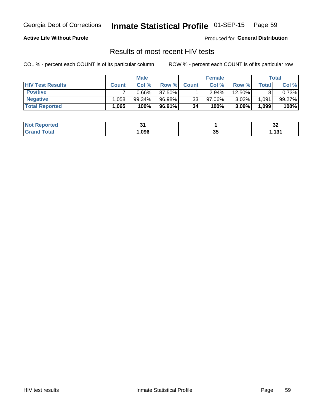#### Inmate Statistical Profile 01-SEP-15 Page 59

#### **Active Life Without Parole**

Produced for General Distribution

### Results of most recent HIV tests

COL % - percent each COUNT is of its particular column

|                         |              | <b>Male</b> |        |              | <b>Female</b> |        |             | Total  |
|-------------------------|--------------|-------------|--------|--------------|---------------|--------|-------------|--------|
| <b>HIV Test Results</b> | <b>Count</b> | Col%        | Row %I | <b>Count</b> | Col %         | Row %  | $\tau$ otal | Col %  |
| <b>Positive</b>         |              | $0.66\%$    | 87.50% |              | $2.94\%$      | 12.50% |             | 0.73%  |
| <b>Negative</b>         | .058         | 99.34%      | 96.98% | 33           | 97.06%        | 3.02%  | 1,091       | 99.27% |
| <b>Total Reported</b>   | .065         | 100%        | 96.91% | 34           | 100%          | 3.09%  | 1,099       | 100%   |

| <b>Not Reported</b>              |      |    | . .<br>◡▵    |
|----------------------------------|------|----|--------------|
| <b>Total</b><br>G <sub>rar</sub> | ,096 | 35 | 121<br>1 J I |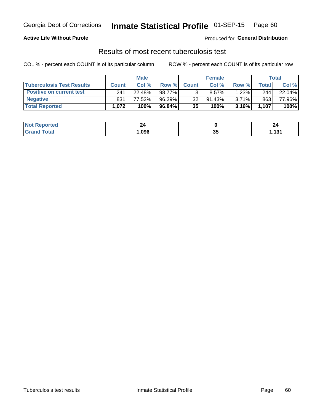## Georgia Dept of Corrections **Inmate Statistical Profile** 01-SEP-15 Page 60

#### **Active Life Without Parole**

Produced for **General Distribution**

### Results of most recent tuberculosis test

COL % - percent each COUNT is of its particular column ROW % - percent each COUNT is of its particular row

|                                  |              | <b>Male</b> |        |                 | <b>Female</b> |          |              | Total  |
|----------------------------------|--------------|-------------|--------|-----------------|---------------|----------|--------------|--------|
| <b>Tuberculosis Test Results</b> | <b>Count</b> | Col%        | Row %I | <b>Count</b>    | Col %         | Row %I   | <b>Total</b> | Col %  |
| <b>Positive on current test</b>  | 241          | 22.48%      | 98.77% |                 | $8.57\%$      | $1.23\%$ | 244          | 22.04% |
| <b>Negative</b>                  | 831          | 77.52%      | 96.29% | 32 <sub>1</sub> | $91.43\%$     | $3.71\%$ | 863          | 77.96% |
| <b>Total Reported</b>            | 1,072        | 100%        | 96.84% | 35              | 100%          | 3.16%    | 1.107        | 100%   |

| <b>Not Reported</b> | 44     |    | 44  |
|---------------------|--------|----|-----|
| Total               | 096, ا | JJ | 121 |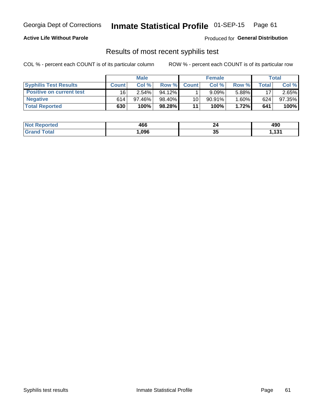## Georgia Dept of Corrections **Inmate Statistical Profile** 01-SEP-15 Page 61

#### **Active Life Without Parole**

Produced for **General Distribution**

#### Results of most recent syphilis test

COL % - percent each COUNT is of its particular column ROW % - percent each COUNT is of its particular row

|                                 | <b>Male</b>  |           |           | <b>Female</b> |           |          | Total |        |
|---------------------------------|--------------|-----------|-----------|---------------|-----------|----------|-------|--------|
| <b>Syphilis Test Results</b>    | <b>Count</b> | Col %     | Row %     | <b>Count</b>  | Col %     | Row %I   | Total | Col %  |
| <b>Positive on current test</b> | 16           | $2.54\%$  | $94.12\%$ |               | 9.09%     | 5.88%    | 17    | 2.65%  |
| <b>Negative</b>                 | 614          | $97.46\%$ | 98.40%    | 10            | $90.91\%$ | $1.60\%$ | 624   | 97.35% |
| <b>Total Reported</b>           | 630          | 100%      | 98.28%    | 11            | 100%      | 1.72%    | 641   | 100%   |

| <b>Not Reported</b> | 466  |          | 490          |
|---------------------|------|----------|--------------|
| <b>Grand Total</b>  | ,096 | 26<br>v, | 424<br>1 J I |